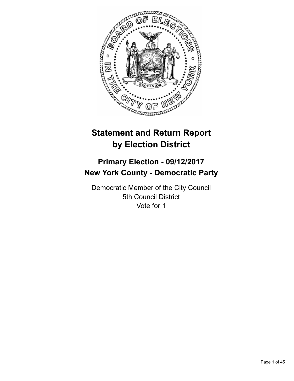

# **Statement and Return Report by Election District**

# **Primary Election - 09/12/2017 New York County - Democratic Party**

Democratic Member of the City Council 5th Council District Vote for 1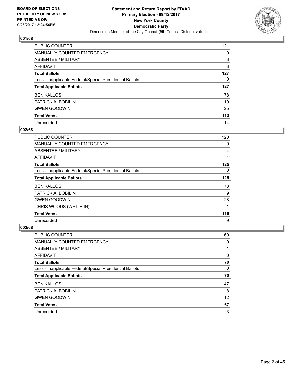

| PUBLIC COUNTER                                           | 121 |
|----------------------------------------------------------|-----|
| <b>MANUALLY COUNTED EMERGENCY</b>                        | 0   |
| <b>ABSENTEE / MILITARY</b>                               | 3   |
| <b>AFFIDAVIT</b>                                         | 3   |
| <b>Total Ballots</b>                                     | 127 |
| Less - Inapplicable Federal/Special Presidential Ballots | 0   |
| <b>Total Applicable Ballots</b>                          | 127 |
| <b>BEN KALLOS</b>                                        | 78  |
| PATRICK A. BOBILIN                                       | 10  |
| <b>GWEN GOODWIN</b>                                      | 25  |
| <b>Total Votes</b>                                       | 113 |
| Unrecorded                                               | 14  |

#### **002/68**

| PUBLIC COUNTER                                           | 120 |
|----------------------------------------------------------|-----|
| <b>MANUALLY COUNTED EMERGENCY</b>                        | 0   |
| ABSENTEE / MILITARY                                      | 4   |
| AFFIDAVIT                                                |     |
| <b>Total Ballots</b>                                     | 125 |
| Less - Inapplicable Federal/Special Presidential Ballots | 0   |
| <b>Total Applicable Ballots</b>                          | 125 |
| <b>BEN KALLOS</b>                                        | 78  |
| PATRICK A. BOBILIN                                       | 9   |
| <b>GWEN GOODWIN</b>                                      | 28  |
| CHRIS WOODS (WRITE-IN)                                   |     |
| <b>Total Votes</b>                                       | 116 |
| Unrecorded                                               | 9   |

| <b>PUBLIC COUNTER</b>                                    | 69 |
|----------------------------------------------------------|----|
| MANUALLY COUNTED EMERGENCY                               | 0  |
| ABSENTEE / MILITARY                                      |    |
| AFFIDAVIT                                                | 0  |
| <b>Total Ballots</b>                                     | 70 |
| Less - Inapplicable Federal/Special Presidential Ballots | 0  |
| <b>Total Applicable Ballots</b>                          | 70 |
| <b>BEN KALLOS</b>                                        | 47 |
| PATRICK A. BOBILIN                                       | 8  |
| <b>GWEN GOODWIN</b>                                      | 12 |
| <b>Total Votes</b>                                       | 67 |
| Unrecorded                                               | 3  |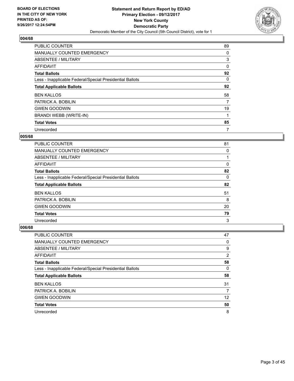

| <b>PUBLIC COUNTER</b>                                    | 89 |
|----------------------------------------------------------|----|
| MANUALLY COUNTED EMERGENCY                               | 0  |
| ABSENTEE / MILITARY                                      | 3  |
| <b>AFFIDAVIT</b>                                         | 0  |
| <b>Total Ballots</b>                                     | 92 |
| Less - Inapplicable Federal/Special Presidential Ballots | 0  |
| <b>Total Applicable Ballots</b>                          | 92 |
| <b>BEN KALLOS</b>                                        | 58 |
| PATRICK A. BOBILIN                                       | 7  |
| <b>GWEN GOODWIN</b>                                      | 19 |
| BRANDI WEBB (WRITE-IN)                                   | 1  |
| <b>Total Votes</b>                                       | 85 |
| Unrecorded                                               | 7  |

#### **005/68**

| <b>PUBLIC COUNTER</b>                                    | 81 |
|----------------------------------------------------------|----|
| <b>MANUALLY COUNTED EMERGENCY</b>                        | 0  |
| ABSENTEE / MILITARY                                      |    |
| AFFIDAVIT                                                | 0  |
| <b>Total Ballots</b>                                     | 82 |
| Less - Inapplicable Federal/Special Presidential Ballots | 0  |
| <b>Total Applicable Ballots</b>                          | 82 |
| <b>BEN KALLOS</b>                                        | 51 |
| PATRICK A. BOBILIN                                       | 8  |
| <b>GWEN GOODWIN</b>                                      | 20 |
| <b>Total Votes</b>                                       | 79 |
| Unrecorded                                               | 3  |

| <b>PUBLIC COUNTER</b>                                    | 47                    |
|----------------------------------------------------------|-----------------------|
| MANUALLY COUNTED EMERGENCY                               | 0                     |
| ABSENTEE / MILITARY                                      | 9                     |
| AFFIDAVIT                                                | $\mathbf{2}^{\prime}$ |
| <b>Total Ballots</b>                                     | 58                    |
| Less - Inapplicable Federal/Special Presidential Ballots | 0                     |
| <b>Total Applicable Ballots</b>                          | 58                    |
| <b>BEN KALLOS</b>                                        | 31                    |
| PATRICK A. BOBILIN                                       | 7                     |
| <b>GWEN GOODWIN</b>                                      | 12                    |
| <b>Total Votes</b>                                       | 50                    |
| Unrecorded                                               | 8                     |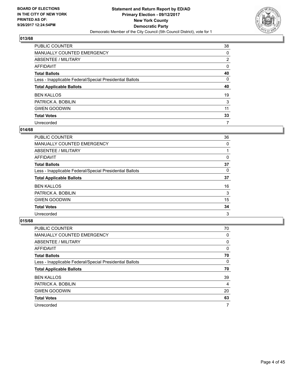

| PUBLIC COUNTER                                           | 38             |
|----------------------------------------------------------|----------------|
| <b>MANUALLY COUNTED EMERGENCY</b>                        | 0              |
| ABSENTEE / MILITARY                                      | $\overline{2}$ |
| <b>AFFIDAVIT</b>                                         | 0              |
| <b>Total Ballots</b>                                     | 40             |
| Less - Inapplicable Federal/Special Presidential Ballots | $\Omega$       |
| <b>Total Applicable Ballots</b>                          | 40             |
| <b>BEN KALLOS</b>                                        | 19             |
| PATRICK A. BOBILIN                                       | 3              |
| <b>GWEN GOODWIN</b>                                      | 11             |
| <b>Total Votes</b>                                       | 33             |
|                                                          |                |

#### **014/68**

| <b>PUBLIC COUNTER</b>                                    | 36 |
|----------------------------------------------------------|----|
| MANUALLY COUNTED EMERGENCY                               | 0  |
| ABSENTEE / MILITARY                                      |    |
| <b>AFFIDAVIT</b>                                         | 0  |
| <b>Total Ballots</b>                                     | 37 |
| Less - Inapplicable Federal/Special Presidential Ballots | 0  |
| <b>Total Applicable Ballots</b>                          | 37 |
| <b>BEN KALLOS</b>                                        | 16 |
| PATRICK A. BOBILIN                                       | 3  |
| <b>GWEN GOODWIN</b>                                      | 15 |
| <b>Total Votes</b>                                       | 34 |
| Unrecorded                                               | 3  |

| <b>PUBLIC COUNTER</b>                                    | 70 |
|----------------------------------------------------------|----|
| MANUALLY COUNTED EMERGENCY                               | 0  |
| ABSENTEE / MILITARY                                      | 0  |
| AFFIDAVIT                                                | 0  |
| <b>Total Ballots</b>                                     | 70 |
| Less - Inapplicable Federal/Special Presidential Ballots | 0  |
| <b>Total Applicable Ballots</b>                          | 70 |
| <b>BEN KALLOS</b>                                        | 39 |
| PATRICK A. BOBILIN                                       | 4  |
| <b>GWEN GOODWIN</b>                                      | 20 |
| <b>Total Votes</b>                                       | 63 |
| Unrecorded                                               | 7  |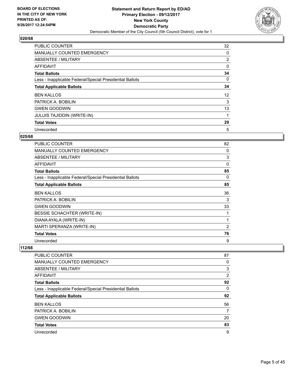

| PUBLIC COUNTER                                           | 32                |
|----------------------------------------------------------|-------------------|
| MANUALLY COUNTED EMERGENCY                               | 0                 |
| ABSENTEE / MILITARY                                      | 2                 |
| AFFIDAVIT                                                | 0                 |
| <b>Total Ballots</b>                                     | 34                |
| Less - Inapplicable Federal/Special Presidential Ballots | 0                 |
| <b>Total Applicable Ballots</b>                          | 34                |
| <b>BEN KALLOS</b>                                        | $12 \overline{ }$ |
| PATRICK A. BOBILIN                                       | 3                 |
| <b>GWEN GOODWIN</b>                                      | 13                |
| <b>JULUIS TAJIDDIN (WRITE-IN)</b>                        |                   |
| <b>Total Votes</b>                                       | 29                |
| Unrecorded                                               | 5                 |

# **025/68**

| PUBLIC COUNTER                                           | 82 |
|----------------------------------------------------------|----|
| <b>MANUALLY COUNTED EMERGENCY</b>                        | 0  |
| <b>ABSENTEE / MILITARY</b>                               | 3  |
| AFFIDAVIT                                                | 0  |
| <b>Total Ballots</b>                                     | 85 |
| Less - Inapplicable Federal/Special Presidential Ballots | 0  |
| <b>Total Applicable Ballots</b>                          | 85 |
| <b>BEN KALLOS</b>                                        | 36 |
| PATRICK A. BOBILIN                                       | 3  |
| <b>GWEN GOODWIN</b>                                      | 33 |
| BESSIE SCHACHTER (WRITE-IN)                              |    |
| DIANA AYALA (WRITE-IN)                                   | 1  |
| MARTI SPERANZA (WRITE-IN)                                | 2  |
| <b>Total Votes</b>                                       | 76 |
| Unrecorded                                               | 9  |

| <b>PUBLIC COUNTER</b>                                    | 87 |
|----------------------------------------------------------|----|
| MANUALLY COUNTED EMERGENCY                               | 0  |
| ABSENTEE / MILITARY                                      | 3  |
| AFFIDAVIT                                                | 2  |
| <b>Total Ballots</b>                                     | 92 |
| Less - Inapplicable Federal/Special Presidential Ballots | 0  |
| <b>Total Applicable Ballots</b>                          | 92 |
| <b>BEN KALLOS</b>                                        | 56 |
| PATRICK A. BOBILIN                                       | 7  |
| <b>GWEN GOODWIN</b>                                      | 20 |
| <b>Total Votes</b>                                       | 83 |
| Unrecorded                                               | 9  |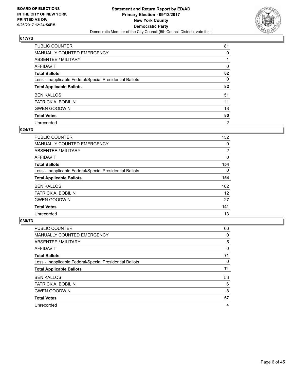

| <b>PUBLIC COUNTER</b>                                    | 81             |
|----------------------------------------------------------|----------------|
| <b>MANUALLY COUNTED EMERGENCY</b>                        | 0              |
| <b>ABSENTEE / MILITARY</b>                               |                |
| <b>AFFIDAVIT</b>                                         | 0              |
| <b>Total Ballots</b>                                     | 82             |
| Less - Inapplicable Federal/Special Presidential Ballots | 0              |
| <b>Total Applicable Ballots</b>                          | 82             |
| <b>BEN KALLOS</b>                                        | 51             |
| PATRICK A. BOBILIN                                       | 11             |
| <b>GWEN GOODWIN</b>                                      | 18             |
| <b>Total Votes</b>                                       | 80             |
| Unrecorded                                               | $\overline{2}$ |

#### **024/73**

| <b>PUBLIC COUNTER</b>                                    | 152            |
|----------------------------------------------------------|----------------|
| <b>MANUALLY COUNTED EMERGENCY</b>                        | 0              |
| ABSENTEE / MILITARY                                      | $\overline{2}$ |
| <b>AFFIDAVIT</b>                                         | 0              |
| <b>Total Ballots</b>                                     | 154            |
| Less - Inapplicable Federal/Special Presidential Ballots | $\Omega$       |
| <b>Total Applicable Ballots</b>                          | 154            |
| <b>BEN KALLOS</b>                                        | 102            |
| PATRICK A. BOBILIN                                       | 12             |
| <b>GWEN GOODWIN</b>                                      | 27             |
| <b>Total Votes</b>                                       | 141            |
| Unrecorded                                               | 13             |

| <b>PUBLIC COUNTER</b>                                    | 66 |
|----------------------------------------------------------|----|
| <b>MANUALLY COUNTED EMERGENCY</b>                        | 0  |
| ABSENTEE / MILITARY                                      | 5  |
| <b>AFFIDAVIT</b>                                         | 0  |
| <b>Total Ballots</b>                                     | 71 |
| Less - Inapplicable Federal/Special Presidential Ballots | 0  |
| <b>Total Applicable Ballots</b>                          | 71 |
| <b>BEN KALLOS</b>                                        | 53 |
| PATRICK A. BOBILIN                                       | 6  |
| <b>GWEN GOODWIN</b>                                      | 8  |
| <b>Total Votes</b>                                       | 67 |
| Unrecorded                                               | 4  |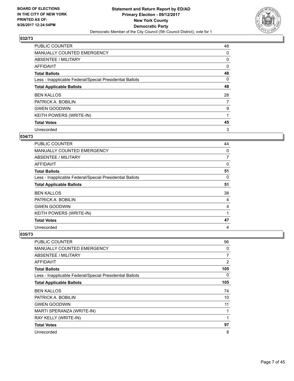

| <b>PUBLIC COUNTER</b>                                    | 48 |
|----------------------------------------------------------|----|
| MANUALLY COUNTED EMERGENCY                               | 0  |
| ABSENTEE / MILITARY                                      | 0  |
| <b>AFFIDAVIT</b>                                         | 0  |
| <b>Total Ballots</b>                                     | 48 |
| Less - Inapplicable Federal/Special Presidential Ballots | 0  |
| <b>Total Applicable Ballots</b>                          | 48 |
| <b>BEN KALLOS</b>                                        | 28 |
| PATRICK A. BOBILIN                                       | 7  |
| <b>GWEN GOODWIN</b>                                      | 9  |
| KEITH POWERS (WRITE-IN)                                  | 1  |
| <b>Total Votes</b>                                       | 45 |
| Unrecorded                                               | 3  |

# **034/73**

| <b>PUBLIC COUNTER</b>                                    | 44 |
|----------------------------------------------------------|----|
| <b>MANUALLY COUNTED EMERGENCY</b>                        | 0  |
| ABSENTEE / MILITARY                                      | 7  |
| <b>AFFIDAVIT</b>                                         | 0  |
| <b>Total Ballots</b>                                     | 51 |
| Less - Inapplicable Federal/Special Presidential Ballots | 0  |
| <b>Total Applicable Ballots</b>                          | 51 |
| <b>BEN KALLOS</b>                                        | 38 |
| PATRICK A. BOBILIN                                       | 4  |
| <b>GWEN GOODWIN</b>                                      | 4  |
| KEITH POWERS (WRITE-IN)                                  | 1  |
| <b>Total Votes</b>                                       | 47 |
| Unrecorded                                               | 4  |

| <b>PUBLIC COUNTER</b>                                    | 96  |
|----------------------------------------------------------|-----|
| <b>MANUALLY COUNTED EMERGENCY</b>                        | 0   |
| ABSENTEE / MILITARY                                      | 7   |
| <b>AFFIDAVIT</b>                                         | 2   |
| <b>Total Ballots</b>                                     | 105 |
| Less - Inapplicable Federal/Special Presidential Ballots | 0   |
| <b>Total Applicable Ballots</b>                          | 105 |
| <b>BEN KALLOS</b>                                        | 74  |
| PATRICK A. BOBILIN                                       | 10  |
| <b>GWEN GOODWIN</b>                                      | 11  |
| MARTI SPERANZA (WRITE-IN)                                | 1   |
| RAY KELLY (WRITE-IN)                                     | 1   |
| <b>Total Votes</b>                                       | 97  |
| Unrecorded                                               | 8   |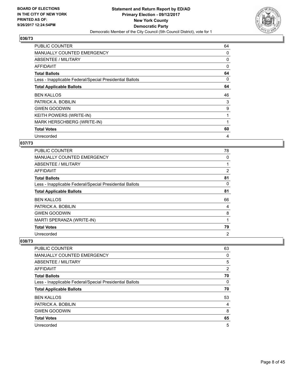

| <b>PUBLIC COUNTER</b>                                    | 64 |
|----------------------------------------------------------|----|
| <b>MANUALLY COUNTED EMERGENCY</b>                        | 0  |
| ABSENTEE / MILITARY                                      | 0  |
| AFFIDAVIT                                                | 0  |
| <b>Total Ballots</b>                                     | 64 |
| Less - Inapplicable Federal/Special Presidential Ballots | 0  |
| <b>Total Applicable Ballots</b>                          | 64 |
| <b>BEN KALLOS</b>                                        | 46 |
| PATRICK A. BOBILIN                                       | 3  |
| <b>GWEN GOODWIN</b>                                      | 9  |
| KEITH POWERS (WRITE-IN)                                  | 1  |
| MARK HERSCHBERG (WRITE-IN)                               |    |
| <b>Total Votes</b>                                       | 60 |
| Unrecorded                                               | 4  |

## **037/73**

| <b>PUBLIC COUNTER</b>                                    | 78             |
|----------------------------------------------------------|----------------|
| <b>MANUALLY COUNTED EMERGENCY</b>                        | 0              |
| ABSENTEE / MILITARY                                      | 1              |
| <b>AFFIDAVIT</b>                                         | 2              |
| <b>Total Ballots</b>                                     | 81             |
| Less - Inapplicable Federal/Special Presidential Ballots | 0              |
| <b>Total Applicable Ballots</b>                          | 81             |
| <b>BEN KALLOS</b>                                        | 66             |
| PATRICK A. BOBILIN                                       | 4              |
| <b>GWEN GOODWIN</b>                                      | 8              |
| MARTI SPERANZA (WRITE-IN)                                |                |
| <b>Total Votes</b>                                       | 79             |
| Unrecorded                                               | $\overline{2}$ |

| <b>PUBLIC COUNTER</b>                                    | 63             |
|----------------------------------------------------------|----------------|
| <b>MANUALLY COUNTED EMERGENCY</b>                        | 0              |
| ABSENTEE / MILITARY                                      | 5              |
| AFFIDAVIT                                                | $\overline{2}$ |
| <b>Total Ballots</b>                                     | 70             |
| Less - Inapplicable Federal/Special Presidential Ballots | 0              |
| <b>Total Applicable Ballots</b>                          | 70             |
| <b>BEN KALLOS</b>                                        | 53             |
| PATRICK A. BOBILIN                                       | 4              |
| <b>GWEN GOODWIN</b>                                      | 8              |
| <b>Total Votes</b>                                       | 65             |
| Unrecorded                                               | 5              |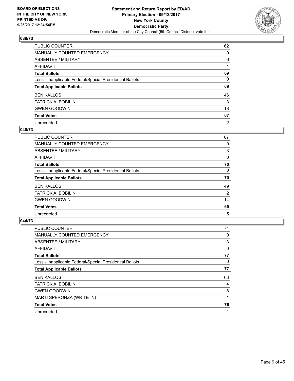

| PUBLIC COUNTER                                           | 62             |
|----------------------------------------------------------|----------------|
| <b>MANUALLY COUNTED EMERGENCY</b>                        | 0              |
| <b>ABSENTEE / MILITARY</b>                               | 6              |
| <b>AFFIDAVIT</b>                                         |                |
| <b>Total Ballots</b>                                     | 69             |
| Less - Inapplicable Federal/Special Presidential Ballots | 0              |
| <b>Total Applicable Ballots</b>                          | 69             |
| <b>BEN KALLOS</b>                                        | 46             |
| PATRICK A. BOBILIN                                       | 3              |
| <b>GWEN GOODWIN</b>                                      | 18             |
| <b>Total Votes</b>                                       | 67             |
| Unrecorded                                               | $\overline{2}$ |

#### **040/73**

| <b>PUBLIC COUNTER</b>                                    | 67             |
|----------------------------------------------------------|----------------|
| <b>MANUALLY COUNTED EMERGENCY</b>                        | 0              |
| ABSENTEE / MILITARY                                      | 3              |
| AFFIDAVIT                                                | 0              |
| <b>Total Ballots</b>                                     | 70             |
| Less - Inapplicable Federal/Special Presidential Ballots | 0              |
| <b>Total Applicable Ballots</b>                          | 70             |
| <b>BEN KALLOS</b>                                        | 49             |
| PATRICK A. BOBILIN                                       | $\overline{2}$ |
| <b>GWEN GOODWIN</b>                                      | 14             |
| <b>Total Votes</b>                                       | 65             |
| Unrecorded                                               | 5              |

| <b>PUBLIC COUNTER</b>                                    | 74 |
|----------------------------------------------------------|----|
| MANUALLY COUNTED EMERGENCY                               | 0  |
| ABSENTEE / MILITARY                                      | 3  |
| <b>AFFIDAVIT</b>                                         | 0  |
| <b>Total Ballots</b>                                     | 77 |
| Less - Inapplicable Federal/Special Presidential Ballots | 0  |
| <b>Total Applicable Ballots</b>                          | 77 |
| <b>BEN KALLOS</b>                                        | 63 |
| PATRICK A. BOBILIN                                       | 4  |
| <b>GWEN GOODWIN</b>                                      | 8  |
| MARTI SPERONZA (WRITE-IN)                                |    |
| <b>Total Votes</b>                                       | 76 |
| Unrecorded                                               | 1  |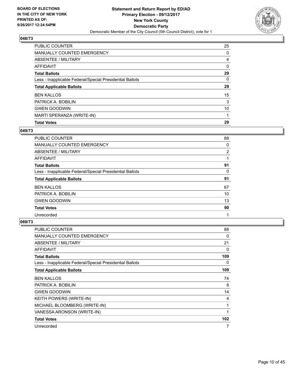

| <b>PUBLIC COUNTER</b>                                    | 25       |
|----------------------------------------------------------|----------|
| <b>MANUALLY COUNTED EMERGENCY</b>                        | 0        |
| ABSENTEE / MILITARY                                      | 4        |
| <b>AFFIDAVIT</b>                                         | 0        |
| <b>Total Ballots</b>                                     | 29       |
| Less - Inapplicable Federal/Special Presidential Ballots | $\Omega$ |
| <b>Total Applicable Ballots</b>                          | 29       |
| <b>BEN KALLOS</b>                                        | 15       |
| PATRICK A. BOBILIN                                       | 3        |
| <b>GWEN GOODWIN</b>                                      | 10       |
| MARTI SPERANZA (WRITE-IN)                                |          |
| <b>Total Votes</b>                                       | 29       |

### **049/73**

| <b>PUBLIC COUNTER</b>                                    | 88 |
|----------------------------------------------------------|----|
| <b>MANUALLY COUNTED EMERGENCY</b>                        | 0  |
| ABSENTEE / MILITARY                                      | 2  |
| AFFIDAVIT                                                |    |
| <b>Total Ballots</b>                                     | 91 |
| Less - Inapplicable Federal/Special Presidential Ballots | 0  |
| <b>Total Applicable Ballots</b>                          | 91 |
| <b>BEN KALLOS</b>                                        | 67 |
| PATRICK A. BOBILIN                                       | 10 |
| <b>GWEN GOODWIN</b>                                      | 13 |
| <b>Total Votes</b>                                       | 90 |
| Unrecorded                                               |    |
|                                                          |    |

| <b>PUBLIC COUNTER</b>                                    | 88  |
|----------------------------------------------------------|-----|
| <b>MANUALLY COUNTED EMERGENCY</b>                        | 0   |
| ABSENTEE / MILITARY                                      | 21  |
| <b>AFFIDAVIT</b>                                         | 0   |
| <b>Total Ballots</b>                                     | 109 |
| Less - Inapplicable Federal/Special Presidential Ballots | 0   |
| <b>Total Applicable Ballots</b>                          | 109 |
| <b>BEN KALLOS</b>                                        | 74  |
| PATRICK A. BOBILIN                                       | 8   |
| <b>GWEN GOODWIN</b>                                      | 14  |
| KEITH POWERS (WRITE-IN)                                  | 4   |
| MICHAEL BLOOMBERG (WRITE-IN)                             | 1   |
| VANESSA ARONSON (WRITE-IN)                               | 1   |
| <b>Total Votes</b>                                       | 102 |
| Unrecorded                                               | 7   |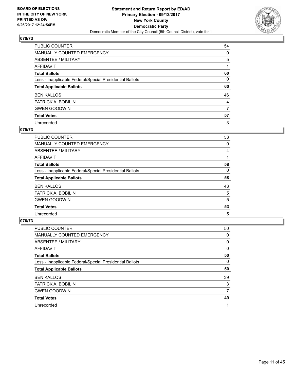

| PUBLIC COUNTER                                           | 54 |
|----------------------------------------------------------|----|
| <b>MANUALLY COUNTED EMERGENCY</b>                        | 0  |
| <b>ABSENTEE / MILITARY</b>                               | 5  |
| <b>AFFIDAVIT</b>                                         |    |
| <b>Total Ballots</b>                                     | 60 |
| Less - Inapplicable Federal/Special Presidential Ballots | 0  |
| <b>Total Applicable Ballots</b>                          | 60 |
| <b>BEN KALLOS</b>                                        | 46 |
| PATRICK A. BOBILIN                                       | 4  |
| <b>GWEN GOODWIN</b>                                      | 7  |
| <b>Total Votes</b>                                       | 57 |
| Unrecorded                                               | 3  |

#### **075/73**

| <b>PUBLIC COUNTER</b>                                    | 53 |
|----------------------------------------------------------|----|
| <b>MANUALLY COUNTED EMERGENCY</b>                        | 0  |
| ABSENTEE / MILITARY                                      | 4  |
| AFFIDAVIT                                                |    |
| <b>Total Ballots</b>                                     | 58 |
| Less - Inapplicable Federal/Special Presidential Ballots | 0  |
| <b>Total Applicable Ballots</b>                          | 58 |
| <b>BEN KALLOS</b>                                        | 43 |
| PATRICK A. BOBILIN                                       | 5  |
| <b>GWEN GOODWIN</b>                                      | 5  |
| <b>Total Votes</b>                                       | 53 |
| Unrecorded                                               | 5  |

| <b>PUBLIC COUNTER</b>                                    | 50 |
|----------------------------------------------------------|----|
| MANUALLY COUNTED EMERGENCY                               | 0  |
| ABSENTEE / MILITARY                                      | 0  |
| AFFIDAVIT                                                | 0  |
| <b>Total Ballots</b>                                     | 50 |
| Less - Inapplicable Federal/Special Presidential Ballots | 0  |
| <b>Total Applicable Ballots</b>                          | 50 |
| <b>BEN KALLOS</b>                                        | 39 |
| PATRICK A. BOBILIN                                       | 3  |
| <b>GWEN GOODWIN</b>                                      | 7  |
| <b>Total Votes</b>                                       | 49 |
| Unrecorded                                               |    |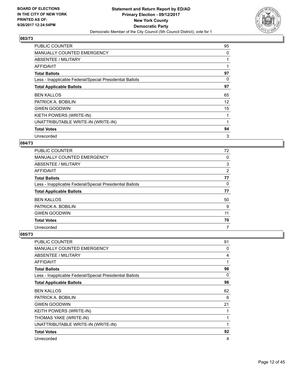

| <b>PUBLIC COUNTER</b>                                    | 95 |
|----------------------------------------------------------|----|
| <b>MANUALLY COUNTED EMERGENCY</b>                        | 0  |
| ABSENTEE / MILITARY                                      |    |
| AFFIDAVIT                                                |    |
| <b>Total Ballots</b>                                     | 97 |
| Less - Inapplicable Federal/Special Presidential Ballots | 0  |
| <b>Total Applicable Ballots</b>                          | 97 |
| <b>BEN KALLOS</b>                                        | 65 |
| PATRICK A. BOBILIN                                       | 12 |
| <b>GWEN GOODWIN</b>                                      | 15 |
| KIETH POWERS (WRITE-IN)                                  |    |
| UNATTRIBUTABLE WRITE-IN (WRITE-IN)                       |    |
| <b>Total Votes</b>                                       | 94 |
| Unrecorded                                               | 3  |

## **084/73**

| <b>PUBLIC COUNTER</b>                                    | 72 |
|----------------------------------------------------------|----|
| <b>MANUALLY COUNTED EMERGENCY</b>                        | 0  |
| ABSENTEE / MILITARY                                      | 3  |
| AFFIDAVIT                                                | 2  |
| <b>Total Ballots</b>                                     | 77 |
| Less - Inapplicable Federal/Special Presidential Ballots | 0  |
| <b>Total Applicable Ballots</b>                          | 77 |
| <b>BEN KALLOS</b>                                        | 50 |
| PATRICK A. BOBILIN                                       | 9  |
| <b>GWEN GOODWIN</b>                                      | 11 |
| <b>Total Votes</b>                                       | 70 |
| Unrecorded                                               | 7  |

| <b>PUBLIC COUNTER</b>                                    | 91 |
|----------------------------------------------------------|----|
| <b>MANUALLY COUNTED EMERGENCY</b>                        | 0  |
| ABSENTEE / MILITARY                                      | 4  |
| AFFIDAVIT                                                | 1  |
| <b>Total Ballots</b>                                     | 96 |
| Less - Inapplicable Federal/Special Presidential Ballots | 0  |
| <b>Total Applicable Ballots</b>                          | 96 |
| <b>BEN KALLOS</b>                                        | 62 |
| PATRICK A. BOBILIN                                       | 6  |
| <b>GWEN GOODWIN</b>                                      | 21 |
| KEITH POWERS (WRITE-IN)                                  | 1  |
| THOMAS YAKE (WRITE-IN)                                   | 1  |
| UNATTRIBUTABLE WRITE-IN (WRITE-IN)                       | 1  |
| <b>Total Votes</b>                                       | 92 |
| Unrecorded                                               | 4  |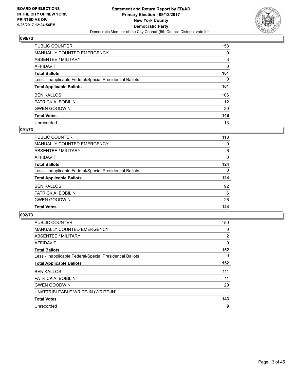

| PUBLIC COUNTER                                           | 158             |
|----------------------------------------------------------|-----------------|
| <b>MANUALLY COUNTED EMERGENCY</b>                        | 0               |
| <b>ABSENTEE / MILITARY</b>                               | 3               |
| <b>AFFIDAVIT</b>                                         | 0               |
| <b>Total Ballots</b>                                     | 161             |
| Less - Inapplicable Federal/Special Presidential Ballots | 0               |
| <b>Total Applicable Ballots</b>                          | 161             |
| <b>BEN KALLOS</b>                                        | 106             |
| PATRICK A. BOBILIN                                       | 12 <sup>2</sup> |
| <b>GWEN GOODWIN</b>                                      | 30              |
| <b>Total Votes</b>                                       | 148             |
| Unrecorded                                               | 13              |

#### **091/73**

| PUBLIC COUNTER                                           | 118      |
|----------------------------------------------------------|----------|
| <b>MANUALLY COUNTED EMERGENCY</b>                        | 0        |
| ABSENTEE / MILITARY                                      | 6        |
| AFFIDAVIT                                                | $\Omega$ |
| <b>Total Ballots</b>                                     | 124      |
| Less - Inapplicable Federal/Special Presidential Ballots | $\Omega$ |
| <b>Total Applicable Ballots</b>                          | 124      |
| <b>BEN KALLOS</b>                                        | 92       |
| PATRICK A. BOBILIN                                       | 6        |
| <b>GWEN GOODWIN</b>                                      | 26       |
| <b>Total Votes</b>                                       | 124      |

| <b>PUBLIC COUNTER</b>                                    | 150            |
|----------------------------------------------------------|----------------|
| MANUALLY COUNTED EMERGENCY                               | 0              |
| ABSENTEE / MILITARY                                      | $\overline{2}$ |
| AFFIDAVIT                                                | 0              |
| <b>Total Ballots</b>                                     | 152            |
| Less - Inapplicable Federal/Special Presidential Ballots | 0              |
| <b>Total Applicable Ballots</b>                          | 152            |
| <b>BEN KALLOS</b>                                        | 111            |
| PATRICK A. BOBILIN                                       | 11             |
| <b>GWEN GOODWIN</b>                                      | 20             |
| UNATTRIBUTABLE WRITE-IN (WRITE-IN)                       | 1              |
| <b>Total Votes</b>                                       | 143            |
| Unrecorded                                               | 9              |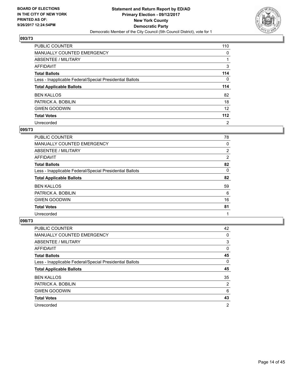

| PUBLIC COUNTER                                           | 110          |
|----------------------------------------------------------|--------------|
| <b>MANUALLY COUNTED EMERGENCY</b>                        | 0            |
| ABSENTEE / MILITARY                                      |              |
| <b>AFFIDAVIT</b>                                         | 3            |
| <b>Total Ballots</b>                                     | 114          |
| Less - Inapplicable Federal/Special Presidential Ballots | $\mathbf{0}$ |
| <b>Total Applicable Ballots</b>                          | 114          |
| <b>BEN KALLOS</b>                                        | 82           |
| PATRICK A. BOBILIN                                       | 18           |
| <b>GWEN GOODWIN</b>                                      | 12           |
| <b>Total Votes</b>                                       | 112          |
| Unrecorded                                               | 2            |

#### **095/73**

| <b>PUBLIC COUNTER</b>                                    | 78             |
|----------------------------------------------------------|----------------|
| MANUALLY COUNTED EMERGENCY                               | 0              |
| ABSENTEE / MILITARY                                      | $\overline{2}$ |
| AFFIDAVIT                                                | 2              |
| <b>Total Ballots</b>                                     | 82             |
| Less - Inapplicable Federal/Special Presidential Ballots | 0              |
| <b>Total Applicable Ballots</b>                          | 82             |
| <b>BEN KALLOS</b>                                        | 59             |
| PATRICK A. BOBILIN                                       | 6              |
| <b>GWEN GOODWIN</b>                                      | 16             |
| <b>Total Votes</b>                                       | 81             |
| Unrecorded                                               |                |

| <b>PUBLIC COUNTER</b>                                    | 42             |
|----------------------------------------------------------|----------------|
| <b>MANUALLY COUNTED EMERGENCY</b>                        | 0              |
| ABSENTEE / MILITARY                                      | 3              |
| AFFIDAVIT                                                | 0              |
| <b>Total Ballots</b>                                     | 45             |
| Less - Inapplicable Federal/Special Presidential Ballots | 0              |
| <b>Total Applicable Ballots</b>                          | 45             |
| <b>BEN KALLOS</b>                                        | 35             |
| PATRICK A. BOBILIN                                       | $\overline{2}$ |
| <b>GWEN GOODWIN</b>                                      | 6              |
| <b>Total Votes</b>                                       | 43             |
| Unrecorded                                               | $\overline{2}$ |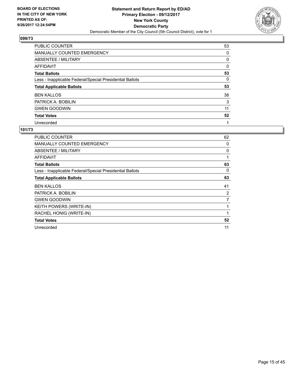

| PUBLIC COUNTER                                           | 53 |
|----------------------------------------------------------|----|
| <b>MANUALLY COUNTED EMERGENCY</b>                        | 0  |
| ABSENTEE / MILITARY                                      | 0  |
| <b>AFFIDAVIT</b>                                         | 0  |
| <b>Total Ballots</b>                                     | 53 |
| Less - Inapplicable Federal/Special Presidential Ballots | 0  |
| <b>Total Applicable Ballots</b>                          | 53 |
| <b>BEN KALLOS</b>                                        | 38 |
| PATRICK A. BOBILIN                                       | 3  |
| <b>GWEN GOODWIN</b>                                      | 11 |
| <b>Total Votes</b>                                       | 52 |
| Unrecorded                                               |    |

| PUBLIC COUNTER                                           | 62 |
|----------------------------------------------------------|----|
| <b>MANUALLY COUNTED EMERGENCY</b>                        | 0  |
| <b>ABSENTEE / MILITARY</b>                               | 0  |
| AFFIDAVIT                                                | 1  |
| <b>Total Ballots</b>                                     | 63 |
| Less - Inapplicable Federal/Special Presidential Ballots | 0  |
| <b>Total Applicable Ballots</b>                          | 63 |
| <b>BEN KALLOS</b>                                        | 41 |
| PATRICK A. BOBILIN                                       | 2  |
| <b>GWEN GOODWIN</b>                                      | 7  |
| KEITH POWERS (WRITE-IN)                                  | 1  |
| RACHEL HONIG (WRITE-IN)                                  | 1  |
|                                                          |    |
| <b>Total Votes</b>                                       | 52 |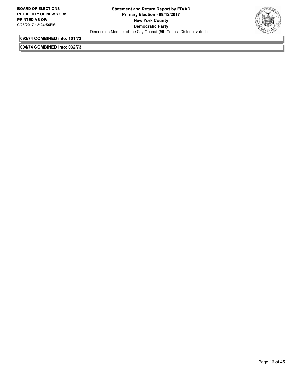

**093/74 COMBINED into: 101/73**

**094/74 COMBINED into: 032/73**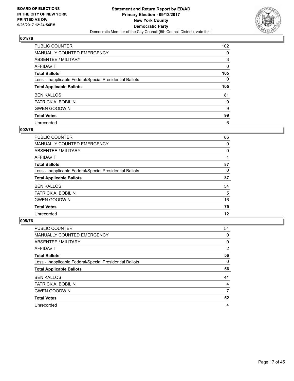

| PUBLIC COUNTER                                           | 102      |
|----------------------------------------------------------|----------|
| <b>MANUALLY COUNTED EMERGENCY</b>                        | 0        |
| ABSENTEE / MILITARY                                      | 3        |
| <b>AFFIDAVIT</b>                                         | 0        |
| <b>Total Ballots</b>                                     | 105      |
| Less - Inapplicable Federal/Special Presidential Ballots | $\Omega$ |
| <b>Total Applicable Ballots</b>                          | 105      |
| <b>BEN KALLOS</b>                                        | 81       |
| PATRICK A. BOBILIN                                       | 9        |
| <b>GWEN GOODWIN</b>                                      | 9        |
| <b>Total Votes</b>                                       | 99       |
|                                                          |          |

#### **002/76**

| <b>PUBLIC COUNTER</b>                                    | 86 |
|----------------------------------------------------------|----|
| MANUALLY COUNTED EMERGENCY                               | 0  |
| ABSENTEE / MILITARY                                      | 0  |
| <b>AFFIDAVIT</b>                                         |    |
| <b>Total Ballots</b>                                     | 87 |
| Less - Inapplicable Federal/Special Presidential Ballots | 0  |
| <b>Total Applicable Ballots</b>                          | 87 |
| <b>BEN KALLOS</b>                                        | 54 |
| PATRICK A. BOBILIN                                       | 5  |
| <b>GWEN GOODWIN</b>                                      | 16 |
| <b>Total Votes</b>                                       | 75 |
| Unrecorded                                               | 12 |

| PUBLIC COUNTER                                           | 54             |
|----------------------------------------------------------|----------------|
| <b>MANUALLY COUNTED EMERGENCY</b>                        | 0              |
| ABSENTEE / MILITARY                                      | 0              |
| AFFIDAVIT                                                | $\overline{2}$ |
| <b>Total Ballots</b>                                     | 56             |
| Less - Inapplicable Federal/Special Presidential Ballots | 0              |
| <b>Total Applicable Ballots</b>                          | 56             |
| <b>BEN KALLOS</b>                                        | 41             |
| PATRICK A. BOBILIN                                       | 4              |
| <b>GWEN GOODWIN</b>                                      | 7              |
| <b>Total Votes</b>                                       | 52             |
| Unrecorded                                               | 4              |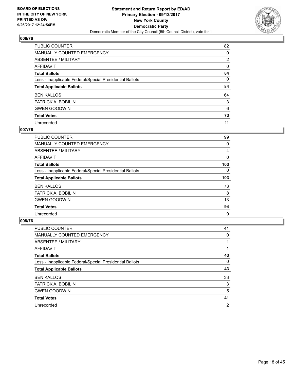

| PUBLIC COUNTER                                           | 82             |
|----------------------------------------------------------|----------------|
| <b>MANUALLY COUNTED EMERGENCY</b>                        | 0              |
| ABSENTEE / MILITARY                                      | $\overline{2}$ |
| <b>AFFIDAVIT</b>                                         | 0              |
| <b>Total Ballots</b>                                     | 84             |
| Less - Inapplicable Federal/Special Presidential Ballots | $\Omega$       |
| <b>Total Applicable Ballots</b>                          | 84             |
| <b>BEN KALLOS</b>                                        | 64             |
| PATRICK A. BOBILIN                                       | 3              |
| <b>GWEN GOODWIN</b>                                      | 6              |
| <b>Total Votes</b>                                       | 73             |
| Unrecorded                                               | 11             |

#### **007/76**

| <b>PUBLIC COUNTER</b>                                    | 99  |
|----------------------------------------------------------|-----|
| MANUALLY COUNTED EMERGENCY                               | 0   |
| ABSENTEE / MILITARY                                      | 4   |
| AFFIDAVIT                                                | 0   |
| <b>Total Ballots</b>                                     | 103 |
| Less - Inapplicable Federal/Special Presidential Ballots | 0   |
| <b>Total Applicable Ballots</b>                          | 103 |
| <b>BEN KALLOS</b>                                        | 73  |
| PATRICK A. BOBILIN                                       | 8   |
| <b>GWEN GOODWIN</b>                                      | 13  |
| <b>Total Votes</b>                                       | 94  |
| Unrecorded                                               | 9   |

| <b>PUBLIC COUNTER</b>                                    | 41             |
|----------------------------------------------------------|----------------|
| MANUALLY COUNTED EMERGENCY                               | 0              |
| ABSENTEE / MILITARY                                      |                |
| AFFIDAVIT                                                |                |
| <b>Total Ballots</b>                                     | 43             |
| Less - Inapplicable Federal/Special Presidential Ballots | 0              |
| <b>Total Applicable Ballots</b>                          | 43             |
| <b>BEN KALLOS</b>                                        | 33             |
| PATRICK A. BOBILIN                                       | 3              |
| <b>GWEN GOODWIN</b>                                      | 5              |
| <b>Total Votes</b>                                       | 41             |
| Unrecorded                                               | $\overline{2}$ |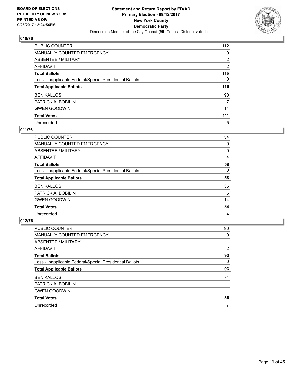

| <b>PUBLIC COUNTER</b>                                    | 112            |
|----------------------------------------------------------|----------------|
| MANUALLY COUNTED EMERGENCY                               | 0              |
| ABSENTEE / MILITARY                                      | $\overline{2}$ |
| AFFIDAVIT                                                | $\overline{2}$ |
| <b>Total Ballots</b>                                     | 116            |
| Less - Inapplicable Federal/Special Presidential Ballots | 0              |
| <b>Total Applicable Ballots</b>                          | 116            |
| <b>BEN KALLOS</b>                                        | 90             |
| PATRICK A. BOBILIN                                       | 7              |
| <b>GWEN GOODWIN</b>                                      | 14             |
| <b>Total Votes</b>                                       | 111            |
| Unrecorded                                               | 5              |

#### **011/76**

| <b>PUBLIC COUNTER</b>                                    | 54 |
|----------------------------------------------------------|----|
| <b>MANUALLY COUNTED EMERGENCY</b>                        | 0  |
| ABSENTEE / MILITARY                                      | 0  |
| AFFIDAVIT                                                | 4  |
| <b>Total Ballots</b>                                     | 58 |
| Less - Inapplicable Federal/Special Presidential Ballots | 0  |
| <b>Total Applicable Ballots</b>                          | 58 |
| <b>BEN KALLOS</b>                                        | 35 |
| PATRICK A. BOBILIN                                       | 5  |
| <b>GWEN GOODWIN</b>                                      | 14 |
| <b>Total Votes</b>                                       | 54 |
| Unrecorded                                               | 4  |

| <b>PUBLIC COUNTER</b>                                    | 90 |
|----------------------------------------------------------|----|
| MANUALLY COUNTED EMERGENCY                               | 0  |
| ABSENTEE / MILITARY                                      |    |
| AFFIDAVIT                                                | 2  |
| <b>Total Ballots</b>                                     | 93 |
| Less - Inapplicable Federal/Special Presidential Ballots | 0  |
| <b>Total Applicable Ballots</b>                          | 93 |
| <b>BEN KALLOS</b>                                        | 74 |
| PATRICK A. BOBILIN                                       |    |
| <b>GWEN GOODWIN</b>                                      | 11 |
| <b>Total Votes</b>                                       | 86 |
| Unrecorded                                               | 7  |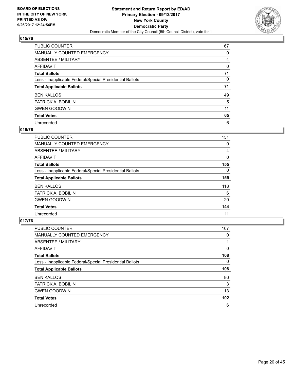

| <b>PUBLIC COUNTER</b>                                    | 67 |
|----------------------------------------------------------|----|
| <b>MANUALLY COUNTED EMERGENCY</b>                        | 0  |
| ABSENTEE / MILITARY                                      | 4  |
| AFFIDAVIT                                                | 0  |
| <b>Total Ballots</b>                                     | 71 |
| Less - Inapplicable Federal/Special Presidential Ballots | 0  |
| <b>Total Applicable Ballots</b>                          | 71 |
| <b>BEN KALLOS</b>                                        | 49 |
| PATRICK A. BOBILIN                                       | 5  |
| <b>GWEN GOODWIN</b>                                      | 11 |
| <b>Total Votes</b>                                       | 65 |
| Unrecorded                                               | 6  |

#### **016/76**

| <b>PUBLIC COUNTER</b>                                    | 151 |
|----------------------------------------------------------|-----|
| <b>MANUALLY COUNTED EMERGENCY</b>                        | 0   |
| ABSENTEE / MILITARY                                      | 4   |
| <b>AFFIDAVIT</b>                                         | 0   |
| <b>Total Ballots</b>                                     | 155 |
| Less - Inapplicable Federal/Special Presidential Ballots | 0   |
| <b>Total Applicable Ballots</b>                          | 155 |
| <b>BEN KALLOS</b>                                        | 118 |
| PATRICK A. BOBILIN                                       | 6   |
| <b>GWEN GOODWIN</b>                                      | 20  |
| <b>Total Votes</b>                                       | 144 |
| Unrecorded                                               | 11  |

| <b>PUBLIC COUNTER</b>                                    | 107 |
|----------------------------------------------------------|-----|
| MANUALLY COUNTED EMERGENCY                               | 0   |
| ABSENTEE / MILITARY                                      |     |
| <b>AFFIDAVIT</b>                                         | 0   |
| <b>Total Ballots</b>                                     | 108 |
| Less - Inapplicable Federal/Special Presidential Ballots | 0   |
| <b>Total Applicable Ballots</b>                          | 108 |
| <b>BEN KALLOS</b>                                        | 86  |
| PATRICK A. BOBILIN                                       | 3   |
| <b>GWEN GOODWIN</b>                                      | 13  |
| <b>Total Votes</b>                                       | 102 |
| Unrecorded                                               | 6   |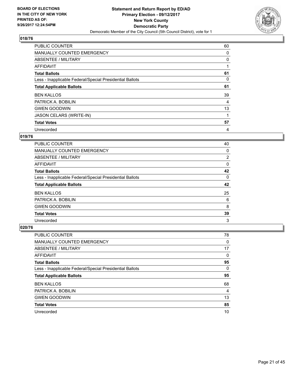

| <b>PUBLIC COUNTER</b>                                    | 60 |
|----------------------------------------------------------|----|
| <b>MANUALLY COUNTED EMERGENCY</b>                        | 0  |
| ABSENTEE / MILITARY                                      | 0  |
| AFFIDAVIT                                                |    |
| <b>Total Ballots</b>                                     | 61 |
| Less - Inapplicable Federal/Special Presidential Ballots | 0  |
| <b>Total Applicable Ballots</b>                          | 61 |
| <b>BEN KALLOS</b>                                        | 39 |
| PATRICK A. BOBILIN                                       | 4  |
| <b>GWEN GOODWIN</b>                                      | 13 |
| JASON CELARS (WRITE-IN)                                  |    |
| <b>Total Votes</b>                                       | 57 |
| Unrecorded                                               | 4  |

## **019/76**

| <b>PUBLIC COUNTER</b>                                    | 40             |
|----------------------------------------------------------|----------------|
| <b>MANUALLY COUNTED EMERGENCY</b>                        | 0              |
| ABSENTEE / MILITARY                                      | $\overline{2}$ |
| AFFIDAVIT                                                | 0              |
| <b>Total Ballots</b>                                     | 42             |
| Less - Inapplicable Federal/Special Presidential Ballots | 0              |
| <b>Total Applicable Ballots</b>                          | 42             |
| <b>BEN KALLOS</b>                                        | 25             |
| PATRICK A. BOBILIN                                       | 6              |
| <b>GWEN GOODWIN</b>                                      | 8              |
| <b>Total Votes</b>                                       | 39             |
| Unrecorded                                               | 3              |

| <b>PUBLIC COUNTER</b>                                    | 78 |
|----------------------------------------------------------|----|
| <b>MANUALLY COUNTED EMERGENCY</b>                        | 0  |
| ABSENTEE / MILITARY                                      | 17 |
| AFFIDAVIT                                                | 0  |
| <b>Total Ballots</b>                                     | 95 |
| Less - Inapplicable Federal/Special Presidential Ballots | 0  |
| <b>Total Applicable Ballots</b>                          | 95 |
| <b>BEN KALLOS</b>                                        | 68 |
| PATRICK A. BOBILIN                                       | 4  |
| <b>GWEN GOODWIN</b>                                      | 13 |
| <b>Total Votes</b>                                       | 85 |
| Unrecorded                                               | 10 |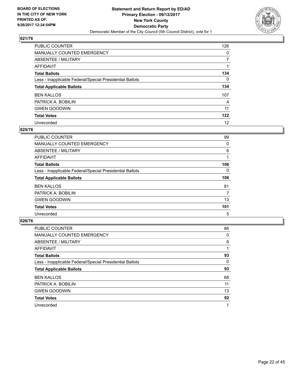

| <b>PUBLIC COUNTER</b>                                    | 126 |
|----------------------------------------------------------|-----|
| <b>MANUALLY COUNTED EMERGENCY</b>                        | 0   |
| ABSENTEE / MILITARY                                      |     |
| AFFIDAVIT                                                |     |
| <b>Total Ballots</b>                                     | 134 |
| Less - Inapplicable Federal/Special Presidential Ballots | 0   |
| <b>Total Applicable Ballots</b>                          | 134 |
| <b>BEN KALLOS</b>                                        | 107 |
| PATRICK A. BOBILIN                                       | 4   |
| <b>GWEN GOODWIN</b>                                      | 11  |
| <b>Total Votes</b>                                       | 122 |
| Unrecorded                                               | 12  |

#### **025/76**

| <b>PUBLIC COUNTER</b>                                    | 99  |
|----------------------------------------------------------|-----|
| MANUALLY COUNTED EMERGENCY                               | 0   |
| ABSENTEE / MILITARY                                      | 6   |
| <b>AFFIDAVIT</b>                                         | 1   |
| <b>Total Ballots</b>                                     | 106 |
| Less - Inapplicable Federal/Special Presidential Ballots | 0   |
| <b>Total Applicable Ballots</b>                          | 106 |
| <b>BEN KALLOS</b>                                        | 81  |
| PATRICK A. BOBILIN                                       | 7   |
| <b>GWEN GOODWIN</b>                                      | 13  |
| <b>Total Votes</b>                                       | 101 |
| Unrecorded                                               | 5   |

| <b>PUBLIC COUNTER</b>                                    | 86 |
|----------------------------------------------------------|----|
| <b>MANUALLY COUNTED EMERGENCY</b>                        | 0  |
| ABSENTEE / MILITARY                                      | 6  |
| <b>AFFIDAVIT</b>                                         |    |
| <b>Total Ballots</b>                                     | 93 |
| Less - Inapplicable Federal/Special Presidential Ballots | 0  |
| <b>Total Applicable Ballots</b>                          | 93 |
| <b>BEN KALLOS</b>                                        | 68 |
| PATRICK A. BOBILIN                                       | 11 |
| <b>GWEN GOODWIN</b>                                      | 13 |
| <b>Total Votes</b>                                       | 92 |
| Unrecorded                                               | 1  |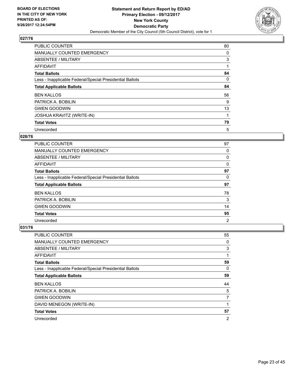

| <b>PUBLIC COUNTER</b>                                    | 80 |
|----------------------------------------------------------|----|
| <b>MANUALLY COUNTED EMERGENCY</b>                        | 0  |
| ABSENTEE / MILITARY                                      | 3  |
| <b>AFFIDAVIT</b>                                         |    |
| <b>Total Ballots</b>                                     | 84 |
| Less - Inapplicable Federal/Special Presidential Ballots | 0  |
| <b>Total Applicable Ballots</b>                          | 84 |
| <b>BEN KALLOS</b>                                        | 56 |
| PATRICK A. BOBILIN                                       | 9  |
| <b>GWEN GOODWIN</b>                                      | 13 |
| <b>JOSHUA KRAVITZ (WRITE-IN)</b>                         |    |
| <b>Total Votes</b>                                       | 79 |
| Unrecorded                                               | 5  |

## **028/76**

| <b>PUBLIC COUNTER</b>                                    | 97             |
|----------------------------------------------------------|----------------|
| <b>MANUALLY COUNTED EMERGENCY</b>                        | 0              |
| ABSENTEE / MILITARY                                      | 0              |
| AFFIDAVIT                                                | 0              |
| <b>Total Ballots</b>                                     | 97             |
| Less - Inapplicable Federal/Special Presidential Ballots | 0              |
| <b>Total Applicable Ballots</b>                          | 97             |
| <b>BEN KALLOS</b>                                        | 78             |
| PATRICK A. BOBILIN                                       | 3              |
| <b>GWEN GOODWIN</b>                                      | 14             |
| <b>Total Votes</b>                                       | 95             |
| Unrecorded                                               | $\overline{2}$ |

| <b>PUBLIC COUNTER</b>                                    | 55 |
|----------------------------------------------------------|----|
| <b>MANUALLY COUNTED EMERGENCY</b>                        | 0  |
| ABSENTEE / MILITARY                                      | 3  |
| AFFIDAVIT                                                | 1  |
| <b>Total Ballots</b>                                     | 59 |
| Less - Inapplicable Federal/Special Presidential Ballots | 0  |
| <b>Total Applicable Ballots</b>                          | 59 |
| <b>BEN KALLOS</b>                                        | 44 |
| PATRICK A. BOBILIN                                       | 5  |
| <b>GWEN GOODWIN</b>                                      | 7  |
| DAVID MENEGON (WRITE-IN)                                 | 1  |
| <b>Total Votes</b>                                       | 57 |
| Unrecorded                                               | 2  |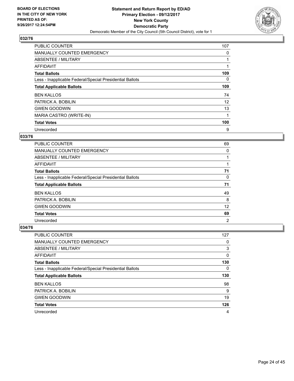

| PUBLIC COUNTER                                           | 107 |
|----------------------------------------------------------|-----|
| MANUALLY COUNTED EMERGENCY                               | 0   |
| ABSENTEE / MILITARY                                      |     |
| AFFIDAVIT                                                |     |
| <b>Total Ballots</b>                                     | 109 |
| Less - Inapplicable Federal/Special Presidential Ballots | 0   |
| <b>Total Applicable Ballots</b>                          | 109 |
| <b>BEN KALLOS</b>                                        | 74  |
| PATRICK A. BOBILIN                                       | 12  |
| <b>GWEN GOODWIN</b>                                      | 13  |
| MARIA CASTRO (WRITE-IN)                                  |     |
| <b>Total Votes</b>                                       | 100 |
| Unrecorded                                               | 9   |

# **033/76**

| <b>PUBLIC COUNTER</b>                                    | 69 |
|----------------------------------------------------------|----|
| <b>MANUALLY COUNTED EMERGENCY</b>                        | 0  |
| ABSENTEE / MILITARY                                      |    |
| AFFIDAVIT                                                |    |
| <b>Total Ballots</b>                                     | 71 |
| Less - Inapplicable Federal/Special Presidential Ballots | 0  |
| <b>Total Applicable Ballots</b>                          | 71 |
| <b>BEN KALLOS</b>                                        | 49 |
| PATRICK A. BOBILIN                                       | 8  |
| <b>GWEN GOODWIN</b>                                      | 12 |
| <b>Total Votes</b>                                       | 69 |
| Unrecorded                                               | 2  |

| <b>PUBLIC COUNTER</b>                                    | 127 |
|----------------------------------------------------------|-----|
| MANUALLY COUNTED EMERGENCY                               | 0   |
| ABSENTEE / MILITARY                                      | 3   |
| AFFIDAVIT                                                | 0   |
| <b>Total Ballots</b>                                     | 130 |
| Less - Inapplicable Federal/Special Presidential Ballots | 0   |
| <b>Total Applicable Ballots</b>                          | 130 |
|                                                          |     |
| <b>BEN KALLOS</b>                                        | 98  |
| PATRICK A. BOBILIN                                       | 9   |
| <b>GWEN GOODWIN</b>                                      | 19  |
| <b>Total Votes</b>                                       | 126 |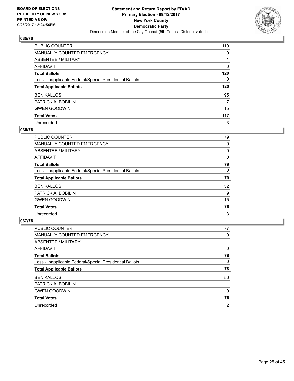

| PUBLIC COUNTER                                           | 119 |
|----------------------------------------------------------|-----|
| <b>MANUALLY COUNTED EMERGENCY</b>                        | 0   |
| <b>ABSENTEE / MILITARY</b>                               |     |
| <b>AFFIDAVIT</b>                                         | 0   |
| <b>Total Ballots</b>                                     | 120 |
| Less - Inapplicable Federal/Special Presidential Ballots | 0   |
| <b>Total Applicable Ballots</b>                          | 120 |
| <b>BEN KALLOS</b>                                        | 95  |
| PATRICK A. BOBILIN                                       | 7   |
| <b>GWEN GOODWIN</b>                                      | 15  |
| <b>Total Votes</b>                                       | 117 |
| Unrecorded                                               | 3   |

#### **036/76**

| <b>PUBLIC COUNTER</b>                                    | 79 |
|----------------------------------------------------------|----|
| MANUALLY COUNTED EMERGENCY                               | 0  |
| ABSENTEE / MILITARY                                      | 0  |
| <b>AFFIDAVIT</b>                                         | 0  |
| <b>Total Ballots</b>                                     | 79 |
| Less - Inapplicable Federal/Special Presidential Ballots | 0  |
| <b>Total Applicable Ballots</b>                          | 79 |
| <b>BEN KALLOS</b>                                        | 52 |
| PATRICK A. BOBILIN                                       | 9  |
| <b>GWEN GOODWIN</b>                                      | 15 |
| <b>Total Votes</b>                                       | 76 |
| Unrecorded                                               | 3  |

| <b>PUBLIC COUNTER</b>                                    | 77             |
|----------------------------------------------------------|----------------|
| MANUALLY COUNTED EMERGENCY                               | 0              |
| ABSENTEE / MILITARY                                      |                |
| AFFIDAVIT                                                | 0              |
| <b>Total Ballots</b>                                     | 78             |
| Less - Inapplicable Federal/Special Presidential Ballots | 0              |
| <b>Total Applicable Ballots</b>                          | 78             |
| <b>BEN KALLOS</b>                                        | 56             |
| PATRICK A. BOBILIN                                       | 11             |
| <b>GWEN GOODWIN</b>                                      | 9              |
| <b>Total Votes</b>                                       | 76             |
| Unrecorded                                               | $\overline{2}$ |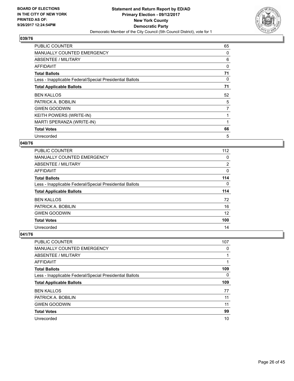

| <b>PUBLIC COUNTER</b>                                    | 65             |
|----------------------------------------------------------|----------------|
| MANUALLY COUNTED EMERGENCY                               | 0              |
| ABSENTEE / MILITARY                                      | 6              |
| AFFIDAVIT                                                | 0              |
| <b>Total Ballots</b>                                     | 71             |
| Less - Inapplicable Federal/Special Presidential Ballots | 0              |
| <b>Total Applicable Ballots</b>                          | 71             |
|                                                          |                |
| <b>BEN KALLOS</b>                                        | 52             |
| PATRICK A. BOBILIN                                       | 5              |
| <b>GWEN GOODWIN</b>                                      | $\overline{7}$ |
| <b>KEITH POWERS (WRITE-IN)</b>                           |                |
| MARTI SPERANZA (WRITE-IN)                                |                |
| <b>Total Votes</b>                                       | 66             |

## **040/76**

| <b>PUBLIC COUNTER</b>                                    | 112            |
|----------------------------------------------------------|----------------|
| <b>MANUALLY COUNTED EMERGENCY</b>                        | 0              |
| ABSENTEE / MILITARY                                      | $\overline{2}$ |
| <b>AFFIDAVIT</b>                                         | 0              |
| <b>Total Ballots</b>                                     | 114            |
| Less - Inapplicable Federal/Special Presidential Ballots | 0              |
|                                                          |                |
| <b>Total Applicable Ballots</b>                          | 114            |
| <b>BEN KALLOS</b>                                        | 72             |
| PATRICK A. BOBILIN                                       | 16             |
| <b>GWEN GOODWIN</b>                                      | 12             |
| <b>Total Votes</b>                                       | 100            |

| <b>PUBLIC COUNTER</b>                                    | 107 |
|----------------------------------------------------------|-----|
| MANUALLY COUNTED EMERGENCY                               | 0   |
| ABSENTEE / MILITARY                                      |     |
| AFFIDAVIT                                                |     |
| <b>Total Ballots</b>                                     | 109 |
| Less - Inapplicable Federal/Special Presidential Ballots | 0   |
|                                                          |     |
| <b>Total Applicable Ballots</b>                          | 109 |
| <b>BEN KALLOS</b>                                        | 77  |
| PATRICK A. BOBILIN                                       | 11  |
| <b>GWEN GOODWIN</b>                                      | 11  |
| <b>Total Votes</b>                                       | 99  |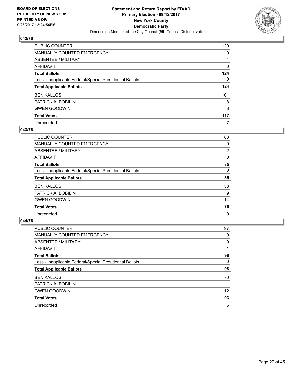

| <b>PUBLIC COUNTER</b>                                    | 120 |
|----------------------------------------------------------|-----|
| MANUALLY COUNTED EMERGENCY                               | 0   |
| <b>ABSENTEE / MILITARY</b>                               | 4   |
| <b>AFFIDAVIT</b>                                         | 0   |
| <b>Total Ballots</b>                                     | 124 |
| Less - Inapplicable Federal/Special Presidential Ballots | 0   |
| <b>Total Applicable Ballots</b>                          | 124 |
| <b>BEN KALLOS</b>                                        | 101 |
| PATRICK A. BOBILIN                                       | 8   |
| <b>GWEN GOODWIN</b>                                      | 8   |
| <b>Total Votes</b>                                       | 117 |
| Unrecorded                                               | 7   |

#### **043/76**

| PUBLIC COUNTER                                           | 83             |
|----------------------------------------------------------|----------------|
| <b>MANUALLY COUNTED EMERGENCY</b>                        | 0              |
| ABSENTEE / MILITARY                                      | $\overline{2}$ |
| AFFIDAVIT                                                | 0              |
| <b>Total Ballots</b>                                     | 85             |
| Less - Inapplicable Federal/Special Presidential Ballots | 0              |
| <b>Total Applicable Ballots</b>                          | 85             |
| <b>BEN KALLOS</b>                                        | 53             |
| PATRICK A. BOBILIN                                       | 9              |
| <b>GWEN GOODWIN</b>                                      | 14             |
| <b>Total Votes</b>                                       | 76             |
| Unrecorded                                               | 9              |

| <b>PUBLIC COUNTER</b>                                    | 97 |
|----------------------------------------------------------|----|
| <b>MANUALLY COUNTED EMERGENCY</b>                        | 0  |
| ABSENTEE / MILITARY                                      | 0  |
| AFFIDAVIT                                                |    |
| <b>Total Ballots</b>                                     | 98 |
| Less - Inapplicable Federal/Special Presidential Ballots | 0  |
| <b>Total Applicable Ballots</b>                          | 98 |
| <b>BEN KALLOS</b>                                        | 70 |
| PATRICK A. BOBILIN                                       | 11 |
| <b>GWEN GOODWIN</b>                                      | 12 |
| <b>Total Votes</b>                                       | 93 |
| Unrecorded                                               | 5  |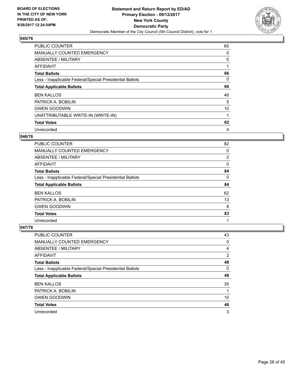

| <b>PUBLIC COUNTER</b>                                    | 65 |
|----------------------------------------------------------|----|
| <b>MANUALLY COUNTED EMERGENCY</b>                        | 0  |
| ABSENTEE / MILITARY                                      | 0  |
| AFFIDAVIT                                                |    |
| <b>Total Ballots</b>                                     | 66 |
| Less - Inapplicable Federal/Special Presidential Ballots | 0  |
| <b>Total Applicable Ballots</b>                          | 66 |
| <b>BEN KALLOS</b>                                        | 46 |
| PATRICK A. BOBILIN                                       | 5  |
| <b>GWEN GOODWIN</b>                                      | 10 |
| UNATTRIBUTABLE WRITE-IN (WRITE-IN)                       |    |
| <b>Total Votes</b>                                       | 62 |
| Unrecorded                                               | 4  |

#### **046/76**

| <b>PUBLIC COUNTER</b>                                    | 82             |
|----------------------------------------------------------|----------------|
| MANUALLY COUNTED EMERGENCY                               | 0              |
| ABSENTEE / MILITARY                                      | $\overline{2}$ |
| AFFIDAVIT                                                | 0              |
| <b>Total Ballots</b>                                     | 84             |
| Less - Inapplicable Federal/Special Presidential Ballots | 0              |
| <b>Total Applicable Ballots</b>                          | 84             |
| <b>BEN KALLOS</b>                                        | 62             |
| PATRICK A. BOBILIN                                       | 13             |
| <b>GWEN GOODWIN</b>                                      | 8              |
| <b>Total Votes</b>                                       | 83             |
| Unrecorded                                               | 1              |

| PUBLIC COUNTER                                           | 43             |
|----------------------------------------------------------|----------------|
| <b>MANUALLY COUNTED EMERGENCY</b>                        | 0              |
| ABSENTEE / MILITARY                                      | 4              |
| AFFIDAVIT                                                | $\overline{2}$ |
| <b>Total Ballots</b>                                     | 49             |
| Less - Inapplicable Federal/Special Presidential Ballots | 0              |
| <b>Total Applicable Ballots</b>                          | 49             |
| <b>BEN KALLOS</b>                                        | 35             |
| PATRICK A. BOBILIN                                       |                |
| <b>GWEN GOODWIN</b>                                      | 10             |
| <b>Total Votes</b>                                       | 46             |
| Unrecorded                                               | 3              |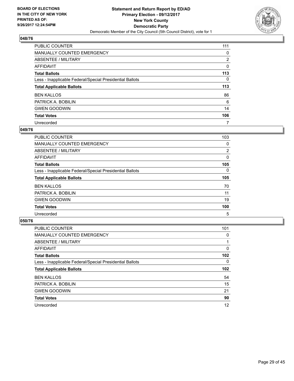

| <b>PUBLIC COUNTER</b>                                    | 111            |
|----------------------------------------------------------|----------------|
| MANUALLY COUNTED EMERGENCY                               | 0              |
| ABSENTEE / MILITARY                                      | $\overline{2}$ |
| <b>AFFIDAVIT</b>                                         | 0              |
| <b>Total Ballots</b>                                     | 113            |
| Less - Inapplicable Federal/Special Presidential Ballots | $\Omega$       |
| <b>Total Applicable Ballots</b>                          | 113            |
| <b>BEN KALLOS</b>                                        | 86             |
| PATRICK A. BOBILIN                                       | 6              |
| <b>GWEN GOODWIN</b>                                      | 14             |
| <b>Total Votes</b>                                       | 106            |
| Unrecorded                                               | 7              |

#### **049/76**

| <b>PUBLIC COUNTER</b>                                    | 103      |
|----------------------------------------------------------|----------|
| <b>MANUALLY COUNTED EMERGENCY</b>                        | 0        |
| ABSENTEE / MILITARY                                      | 2        |
| <b>AFFIDAVIT</b>                                         | 0        |
| <b>Total Ballots</b>                                     | 105      |
| Less - Inapplicable Federal/Special Presidential Ballots | $\Omega$ |
| <b>Total Applicable Ballots</b>                          | 105      |
| <b>BEN KALLOS</b>                                        | 70       |
| PATRICK A. BOBILIN                                       | 11       |
| <b>GWEN GOODWIN</b>                                      | 19       |
| <b>Total Votes</b>                                       | 100      |
| Unrecorded                                               | 5        |

| <b>PUBLIC COUNTER</b>                                    | 101              |
|----------------------------------------------------------|------------------|
| <b>MANUALLY COUNTED EMERGENCY</b>                        | 0                |
| ABSENTEE / MILITARY                                      |                  |
| AFFIDAVIT                                                | 0                |
| <b>Total Ballots</b>                                     | 102 <sub>2</sub> |
| Less - Inapplicable Federal/Special Presidential Ballots | 0                |
| <b>Total Applicable Ballots</b>                          | 102 <sub>2</sub> |
| <b>BEN KALLOS</b>                                        | 54               |
| PATRICK A. BOBILIN                                       | 15               |
| <b>GWEN GOODWIN</b>                                      | 21               |
| <b>Total Votes</b>                                       | 90               |
| Unrecorded                                               | 12               |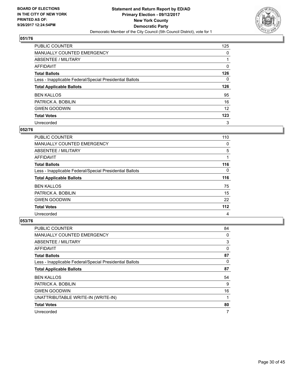

| PUBLIC COUNTER                                           | 125 |
|----------------------------------------------------------|-----|
| <b>MANUALLY COUNTED EMERGENCY</b>                        | 0   |
| <b>ABSENTEE / MILITARY</b>                               |     |
| <b>AFFIDAVIT</b>                                         | 0   |
| <b>Total Ballots</b>                                     | 126 |
| Less - Inapplicable Federal/Special Presidential Ballots | 0   |
| <b>Total Applicable Ballots</b>                          | 126 |
| <b>BEN KALLOS</b>                                        | 95  |
| PATRICK A. BOBILIN                                       | 16  |
| <b>GWEN GOODWIN</b>                                      | 12  |
| <b>Total Votes</b>                                       | 123 |
| Unrecorded                                               | 3   |

#### **052/76**

| <b>PUBLIC COUNTER</b>                                    | 110   |
|----------------------------------------------------------|-------|
| MANUALLY COUNTED EMERGENCY                               | 0     |
| ABSENTEE / MILITARY                                      | 5     |
| AFFIDAVIT                                                |       |
| <b>Total Ballots</b>                                     | 116   |
| Less - Inapplicable Federal/Special Presidential Ballots | 0     |
| <b>Total Applicable Ballots</b>                          | 116   |
| <b>BEN KALLOS</b>                                        | 75    |
| PATRICK A. BOBILIN                                       | 15    |
| <b>GWEN GOODWIN</b>                                      | 22    |
| <b>Total Votes</b>                                       | $112$ |
| Unrecorded                                               | 4     |

| <b>PUBLIC COUNTER</b>                                    | 84 |
|----------------------------------------------------------|----|
| <b>MANUALLY COUNTED EMERGENCY</b>                        | 0  |
| ABSENTEE / MILITARY                                      | 3  |
| AFFIDAVIT                                                | 0  |
| <b>Total Ballots</b>                                     | 87 |
| Less - Inapplicable Federal/Special Presidential Ballots | 0  |
| <b>Total Applicable Ballots</b>                          | 87 |
| <b>BEN KALLOS</b>                                        | 54 |
| PATRICK A. BOBILIN                                       | 9  |
| <b>GWEN GOODWIN</b>                                      | 16 |
| UNATTRIBUTABLE WRITE-IN (WRITE-IN)                       |    |
| <b>Total Votes</b>                                       | 80 |
| Unrecorded                                               | 7  |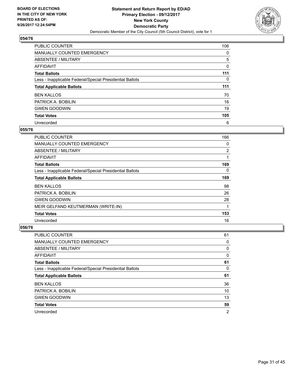

| <b>PUBLIC COUNTER</b>                                    | 106 |
|----------------------------------------------------------|-----|
| <b>MANUALLY COUNTED EMERGENCY</b>                        | 0   |
| ABSENTEE / MILITARY                                      | 5   |
| AFFIDAVIT                                                | 0   |
| <b>Total Ballots</b>                                     | 111 |
| Less - Inapplicable Federal/Special Presidential Ballots | 0   |
| <b>Total Applicable Ballots</b>                          | 111 |
| <b>BEN KALLOS</b>                                        | 70  |
| PATRICK A. BOBILIN                                       | 16  |
| <b>GWEN GOODWIN</b>                                      | 19  |
|                                                          |     |
| <b>Total Votes</b>                                       | 105 |

#### **055/76**

| PUBLIC COUNTER                                           | 166      |
|----------------------------------------------------------|----------|
| <b>MANUALLY COUNTED EMERGENCY</b>                        | 0        |
| ABSENTEE / MILITARY                                      | 2        |
| <b>AFFIDAVIT</b>                                         |          |
| <b>Total Ballots</b>                                     | 169      |
| Less - Inapplicable Federal/Special Presidential Ballots | $\Omega$ |
| <b>Total Applicable Ballots</b>                          | 169      |
| <b>BEN KALLOS</b>                                        | 98       |
| PATRICK A. BOBILIN                                       | 26       |
| <b>GWEN GOODWIN</b>                                      | 28       |
| MEIR GELFAND KEUTMERMAN (WRITE-IN)                       | 1        |
| <b>Total Votes</b>                                       | 153      |
| Unrecorded                                               | 16       |

| <b>PUBLIC COUNTER</b>                                    | 61 |
|----------------------------------------------------------|----|
| MANUALLY COUNTED EMERGENCY                               | 0  |
| ABSENTEE / MILITARY                                      | 0  |
| AFFIDAVIT                                                | 0  |
| <b>Total Ballots</b>                                     | 61 |
| Less - Inapplicable Federal/Special Presidential Ballots | 0  |
| <b>Total Applicable Ballots</b>                          | 61 |
|                                                          |    |
| <b>BEN KALLOS</b>                                        | 36 |
| PATRICK A. BOBILIN                                       | 10 |
| <b>GWEN GOODWIN</b>                                      | 13 |
| <b>Total Votes</b>                                       | 59 |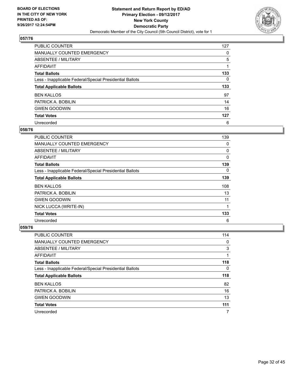

| <b>PUBLIC COUNTER</b>                                    | 127 |
|----------------------------------------------------------|-----|
| <b>MANUALLY COUNTED EMERGENCY</b>                        | 0   |
| ABSENTEE / MILITARY                                      | 5   |
| AFFIDAVIT                                                |     |
| <b>Total Ballots</b>                                     | 133 |
| Less - Inapplicable Federal/Special Presidential Ballots | 0   |
| <b>Total Applicable Ballots</b>                          | 133 |
| <b>BEN KALLOS</b>                                        | 97  |
| PATRICK A. BOBILIN                                       | 14  |
| <b>GWEN GOODWIN</b>                                      | 16  |
| <b>Total Votes</b>                                       | 127 |
| Unrecorded                                               | 6   |

#### **058/76**

| <b>PUBLIC COUNTER</b>                                    | 139 |
|----------------------------------------------------------|-----|
| <b>MANUALLY COUNTED EMERGENCY</b>                        | 0   |
| ABSENTEE / MILITARY                                      | 0   |
| <b>AFFIDAVIT</b>                                         | 0   |
| <b>Total Ballots</b>                                     | 139 |
| Less - Inapplicable Federal/Special Presidential Ballots | 0   |
| <b>Total Applicable Ballots</b>                          | 139 |
| <b>BEN KALLOS</b>                                        | 108 |
| PATRICK A. BOBILIN                                       | 13  |
| <b>GWEN GOODWIN</b>                                      | 11  |
| NICK LUCCA (WRITE-IN)                                    |     |
| <b>Total Votes</b>                                       | 133 |
| Unrecorded                                               | 6   |

| <b>PUBLIC COUNTER</b>                                    | 114 |
|----------------------------------------------------------|-----|
| <b>MANUALLY COUNTED EMERGENCY</b>                        | 0   |
| ABSENTEE / MILITARY                                      | 3   |
| AFFIDAVIT                                                |     |
| <b>Total Ballots</b>                                     | 118 |
| Less - Inapplicable Federal/Special Presidential Ballots | 0   |
| <b>Total Applicable Ballots</b>                          | 118 |
| <b>BEN KALLOS</b>                                        | 82  |
| PATRICK A. BOBILIN                                       | 16  |
| <b>GWEN GOODWIN</b>                                      | 13  |
| <b>Total Votes</b>                                       | 111 |
| Unrecorded                                               | 7   |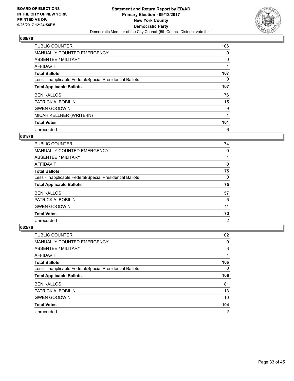

| <b>PUBLIC COUNTER</b>                                    | 106 |
|----------------------------------------------------------|-----|
| MANUALLY COUNTED EMERGENCY                               | 0   |
| ABSENTEE / MILITARY                                      | 0   |
| AFFIDAVIT                                                |     |
| <b>Total Ballots</b>                                     | 107 |
| Less - Inapplicable Federal/Special Presidential Ballots | 0   |
| <b>Total Applicable Ballots</b>                          | 107 |
| <b>BEN KALLOS</b>                                        | 76  |
| PATRICK A. BOBILIN                                       | 15  |
| <b>GWEN GOODWIN</b>                                      | 9   |
| MICAH KELLNER (WRITE-IN)                                 |     |
| <b>Total Votes</b>                                       | 101 |
| Unrecorded                                               | 6   |

# **061/76**

| <b>PUBLIC COUNTER</b>                                    | 74             |
|----------------------------------------------------------|----------------|
| <b>MANUALLY COUNTED EMERGENCY</b>                        | 0              |
| ABSENTEE / MILITARY                                      |                |
| <b>AFFIDAVIT</b>                                         | 0              |
| <b>Total Ballots</b>                                     | 75             |
| Less - Inapplicable Federal/Special Presidential Ballots | 0              |
| <b>Total Applicable Ballots</b>                          | 75             |
| <b>BEN KALLOS</b>                                        | 57             |
| PATRICK A. BOBILIN                                       | 5              |
| <b>GWEN GOODWIN</b>                                      | 11             |
| <b>Total Votes</b>                                       | 73             |
| Unrecorded                                               | $\overline{2}$ |

| <b>PUBLIC COUNTER</b>                                    | 102 |
|----------------------------------------------------------|-----|
| <b>MANUALLY COUNTED EMERGENCY</b>                        | 0   |
| ABSENTEE / MILITARY                                      | 3   |
| AFFIDAVIT                                                |     |
| <b>Total Ballots</b>                                     | 106 |
| Less - Inapplicable Federal/Special Presidential Ballots | 0   |
| <b>Total Applicable Ballots</b>                          | 106 |
|                                                          |     |
| <b>BEN KALLOS</b>                                        | 81  |
| PATRICK A. BOBILIN                                       | 13  |
| <b>GWEN GOODWIN</b>                                      | 10  |
| <b>Total Votes</b>                                       | 104 |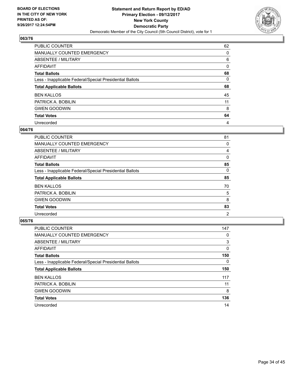

| PUBLIC COUNTER                                           | 62 |
|----------------------------------------------------------|----|
| <b>MANUALLY COUNTED EMERGENCY</b>                        | 0  |
| ABSENTEE / MILITARY                                      | 6  |
| <b>AFFIDAVIT</b>                                         | 0  |
| <b>Total Ballots</b>                                     | 68 |
| Less - Inapplicable Federal/Special Presidential Ballots | 0  |
| <b>Total Applicable Ballots</b>                          | 68 |
| <b>BEN KALLOS</b>                                        | 45 |
| PATRICK A. BOBILIN                                       | 11 |
| <b>GWEN GOODWIN</b>                                      | 8  |
| <b>Total Votes</b>                                       | 64 |
| Unrecorded                                               | 4  |

#### **064/76**

| <b>PUBLIC COUNTER</b>                                    | 81             |
|----------------------------------------------------------|----------------|
| <b>MANUALLY COUNTED EMERGENCY</b>                        | 0              |
| ABSENTEE / MILITARY                                      | 4              |
| AFFIDAVIT                                                | 0              |
| <b>Total Ballots</b>                                     | 85             |
| Less - Inapplicable Federal/Special Presidential Ballots | 0              |
| <b>Total Applicable Ballots</b>                          | 85             |
| <b>BEN KALLOS</b>                                        | 70             |
| PATRICK A. BOBILIN                                       | 5              |
| <b>GWEN GOODWIN</b>                                      | 8              |
| <b>Total Votes</b>                                       | 83             |
| Unrecorded                                               | $\overline{2}$ |

| <b>PUBLIC COUNTER</b>                                    | 147 |
|----------------------------------------------------------|-----|
| <b>MANUALLY COUNTED EMERGENCY</b>                        | 0   |
| ABSENTEE / MILITARY                                      | 3   |
| AFFIDAVIT                                                | 0   |
| <b>Total Ballots</b>                                     | 150 |
| Less - Inapplicable Federal/Special Presidential Ballots | 0   |
| <b>Total Applicable Ballots</b>                          | 150 |
| <b>BEN KALLOS</b>                                        | 117 |
| PATRICK A. BOBILIN                                       | 11  |
| <b>GWEN GOODWIN</b>                                      | 8   |
| <b>Total Votes</b>                                       | 136 |
| Unrecorded                                               | 14  |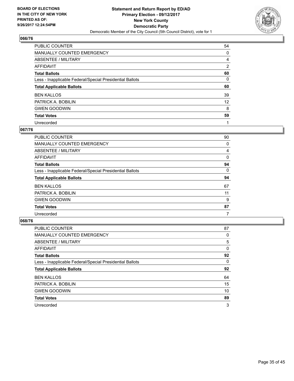

| PUBLIC COUNTER                                           | 54                |
|----------------------------------------------------------|-------------------|
| <b>MANUALLY COUNTED EMERGENCY</b>                        | 0                 |
| ABSENTEE / MILITARY                                      | 4                 |
| <b>AFFIDAVIT</b>                                         | 2                 |
| <b>Total Ballots</b>                                     | 60                |
| Less - Inapplicable Federal/Special Presidential Ballots | 0                 |
| <b>Total Applicable Ballots</b>                          | 60                |
| <b>BEN KALLOS</b>                                        | 39                |
| PATRICK A. BOBILIN                                       | $12 \overline{ }$ |
| <b>GWEN GOODWIN</b>                                      | 8                 |
| <b>Total Votes</b>                                       | 59                |
| Unrecorded                                               |                   |

#### **067/76**

| <b>PUBLIC COUNTER</b>                                    | 90 |
|----------------------------------------------------------|----|
| MANUALLY COUNTED EMERGENCY                               | 0  |
| ABSENTEE / MILITARY                                      | 4  |
| AFFIDAVIT                                                | 0  |
| <b>Total Ballots</b>                                     | 94 |
| Less - Inapplicable Federal/Special Presidential Ballots | 0  |
| <b>Total Applicable Ballots</b>                          | 94 |
| <b>BEN KALLOS</b>                                        | 67 |
| PATRICK A. BOBILIN                                       | 11 |
| <b>GWEN GOODWIN</b>                                      | 9  |
| <b>Total Votes</b>                                       | 87 |
| Unrecorded                                               | 7  |

| <b>PUBLIC COUNTER</b>                                    | 87 |
|----------------------------------------------------------|----|
| <b>MANUALLY COUNTED EMERGENCY</b>                        | 0  |
| ABSENTEE / MILITARY                                      | 5  |
| AFFIDAVIT                                                | 0  |
| <b>Total Ballots</b>                                     | 92 |
| Less - Inapplicable Federal/Special Presidential Ballots | 0  |
| <b>Total Applicable Ballots</b>                          | 92 |
| <b>BEN KALLOS</b>                                        | 64 |
| PATRICK A. BOBILIN                                       | 15 |
| <b>GWEN GOODWIN</b>                                      | 10 |
| <b>Total Votes</b>                                       | 89 |
| Unrecorded                                               | 3  |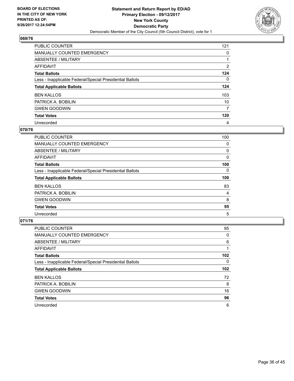

| <b>PUBLIC COUNTER</b>                                    | 121            |
|----------------------------------------------------------|----------------|
| <b>MANUALLY COUNTED EMERGENCY</b>                        | 0              |
| ABSENTEE / MILITARY                                      |                |
| AFFIDAVIT                                                | $\overline{2}$ |
| <b>Total Ballots</b>                                     | 124            |
| Less - Inapplicable Federal/Special Presidential Ballots | 0              |
| <b>Total Applicable Ballots</b>                          | 124            |
| <b>BEN KALLOS</b>                                        | 103            |
| PATRICK A. BOBILIN                                       | 10             |
| <b>GWEN GOODWIN</b>                                      | 7              |
| <b>Total Votes</b>                                       | 120            |
| Unrecorded                                               | 4              |

#### **070/76**

| <b>PUBLIC COUNTER</b>                                    | 100 |
|----------------------------------------------------------|-----|
| <b>MANUALLY COUNTED EMERGENCY</b>                        | 0   |
| ABSENTEE / MILITARY                                      | 0   |
| <b>AFFIDAVIT</b>                                         | 0   |
| <b>Total Ballots</b>                                     | 100 |
| Less - Inapplicable Federal/Special Presidential Ballots | 0   |
| <b>Total Applicable Ballots</b>                          | 100 |
| <b>BEN KALLOS</b>                                        | 83  |
| PATRICK A. BOBILIN                                       | 4   |
| <b>GWEN GOODWIN</b>                                      | 8   |
| <b>Total Votes</b>                                       | 95  |
| Unrecorded                                               | 5   |

| <b>PUBLIC COUNTER</b>                                    | 95               |
|----------------------------------------------------------|------------------|
| MANUALLY COUNTED EMERGENCY                               | 0                |
| ABSENTEE / MILITARY                                      | 6                |
| AFFIDAVIT                                                |                  |
| <b>Total Ballots</b>                                     | 102 <sub>2</sub> |
| Less - Inapplicable Federal/Special Presidential Ballots | 0                |
| <b>Total Applicable Ballots</b>                          | 102 <sub>2</sub> |
| <b>BEN KALLOS</b>                                        | 72               |
| PATRICK A. BOBILIN                                       | 8                |
| <b>GWEN GOODWIN</b>                                      | 16               |
| <b>Total Votes</b>                                       | 96               |
| Unrecorded                                               | 6                |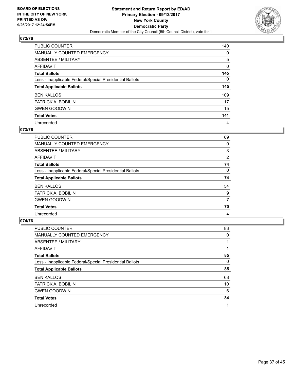

| PUBLIC COUNTER                                           | 140      |
|----------------------------------------------------------|----------|
| <b>MANUALLY COUNTED EMERGENCY</b>                        | 0        |
| <b>ABSENTEE / MILITARY</b>                               | 5        |
| <b>AFFIDAVIT</b>                                         | 0        |
| <b>Total Ballots</b>                                     | 145      |
| Less - Inapplicable Federal/Special Presidential Ballots | $\Omega$ |
| <b>Total Applicable Ballots</b>                          | 145      |
| <b>BEN KALLOS</b>                                        | 109      |
| PATRICK A. BOBILIN                                       | 17       |
| <b>GWEN GOODWIN</b>                                      | 15       |
| <b>Total Votes</b>                                       | 141      |
| Unrecorded                                               | 4        |

#### **073/76**

| <b>PUBLIC COUNTER</b>                                    | 69             |
|----------------------------------------------------------|----------------|
| <b>MANUALLY COUNTED EMERGENCY</b>                        | 0              |
| ABSENTEE / MILITARY                                      | 3              |
| AFFIDAVIT                                                | $\overline{2}$ |
| <b>Total Ballots</b>                                     | 74             |
| Less - Inapplicable Federal/Special Presidential Ballots | 0              |
| <b>Total Applicable Ballots</b>                          | 74             |
| <b>BEN KALLOS</b>                                        | 54             |
| PATRICK A. BOBILIN                                       | 9              |
| <b>GWEN GOODWIN</b>                                      | 7              |
| <b>Total Votes</b>                                       | 70             |
| Unrecorded                                               | 4              |

| <b>PUBLIC COUNTER</b>                                    | 83 |
|----------------------------------------------------------|----|
| <b>MANUALLY COUNTED EMERGENCY</b>                        | 0  |
| ABSENTEE / MILITARY                                      |    |
| AFFIDAVIT                                                |    |
| <b>Total Ballots</b>                                     | 85 |
| Less - Inapplicable Federal/Special Presidential Ballots | 0  |
| <b>Total Applicable Ballots</b>                          | 85 |
| <b>BEN KALLOS</b>                                        | 68 |
| PATRICK A. BOBILIN                                       | 10 |
| <b>GWEN GOODWIN</b>                                      | 6  |
| <b>Total Votes</b>                                       | 84 |
| Unrecorded                                               |    |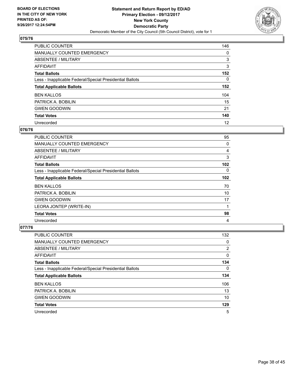

| <b>PUBLIC COUNTER</b>                                    | 146      |
|----------------------------------------------------------|----------|
| <b>MANUALLY COUNTED EMERGENCY</b>                        | $\Omega$ |
| <b>ABSENTEE / MILITARY</b>                               | 3        |
| <b>AFFIDAVIT</b>                                         | 3        |
| <b>Total Ballots</b>                                     | 152      |
| Less - Inapplicable Federal/Special Presidential Ballots | 0        |
| <b>Total Applicable Ballots</b>                          | 152      |
| <b>BEN KALLOS</b>                                        | 104      |
| PATRICK A. BOBILIN                                       | 15       |
| <b>GWEN GOODWIN</b>                                      | 21       |
| <b>Total Votes</b>                                       | 140      |
| Unrecorded                                               | 12       |

#### **076/76**

| <b>PUBLIC COUNTER</b>                                    | 95       |
|----------------------------------------------------------|----------|
| <b>MANUALLY COUNTED EMERGENCY</b>                        | 0        |
| ABSENTEE / MILITARY                                      | 4        |
| <b>AFFIDAVIT</b>                                         | 3        |
| <b>Total Ballots</b>                                     | 102      |
| Less - Inapplicable Federal/Special Presidential Ballots | $\Omega$ |
| <b>Total Applicable Ballots</b>                          | 102      |
| <b>BEN KALLOS</b>                                        | 70       |
| PATRICK A. BOBILIN                                       | 10       |
| <b>GWEN GOODWIN</b>                                      | 17       |
| LEORA JONTEP (WRITE-IN)                                  |          |
| <b>Total Votes</b>                                       | 98       |
| Unrecorded                                               | 4        |

| <b>PUBLIC COUNTER</b>                                    | 132 |
|----------------------------------------------------------|-----|
| <b>MANUALLY COUNTED EMERGENCY</b>                        | 0   |
| ABSENTEE / MILITARY                                      | 2   |
| AFFIDAVIT                                                | 0   |
| <b>Total Ballots</b>                                     | 134 |
| Less - Inapplicable Federal/Special Presidential Ballots | 0   |
| <b>Total Applicable Ballots</b>                          | 134 |
| <b>BEN KALLOS</b>                                        | 106 |
| PATRICK A. BOBILIN                                       | 13  |
| <b>GWEN GOODWIN</b>                                      | 10  |
| <b>Total Votes</b>                                       | 129 |
| Unrecorded                                               | 5   |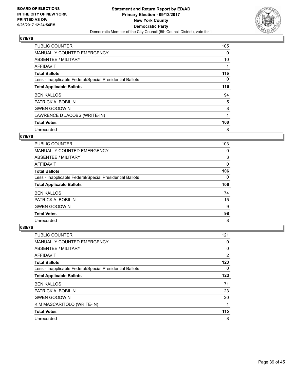

| <b>PUBLIC COUNTER</b>                                    | 105 |
|----------------------------------------------------------|-----|
| MANUALLY COUNTED EMERGENCY                               | 0   |
| ABSENTEE / MILITARY                                      | 10  |
| AFFIDAVIT                                                |     |
| <b>Total Ballots</b>                                     | 116 |
| Less - Inapplicable Federal/Special Presidential Ballots | 0   |
| <b>Total Applicable Ballots</b>                          | 116 |
| <b>BEN KALLOS</b>                                        | 94  |
| PATRICK A. BOBILIN                                       | 5   |
| <b>GWEN GOODWIN</b>                                      | 8   |
| LAWRENCE D JACOBS (WRITE-IN)                             |     |
| <b>Total Votes</b>                                       | 108 |
| Unrecorded                                               | 8   |

## **079/76**

| <b>PUBLIC COUNTER</b>                                    | 103 |
|----------------------------------------------------------|-----|
| <b>MANUALLY COUNTED EMERGENCY</b>                        | 0   |
| ABSENTEE / MILITARY                                      | 3   |
| <b>AFFIDAVIT</b>                                         | 0   |
| <b>Total Ballots</b>                                     | 106 |
| Less - Inapplicable Federal/Special Presidential Ballots | 0   |
|                                                          |     |
| <b>Total Applicable Ballots</b>                          | 106 |
| <b>BEN KALLOS</b>                                        | 74  |
| PATRICK A. BOBILIN                                       | 15  |
| <b>GWEN GOODWIN</b>                                      | 9   |
| <b>Total Votes</b>                                       | 98  |

| <b>PUBLIC COUNTER</b>                                    | 121 |
|----------------------------------------------------------|-----|
| <b>MANUALLY COUNTED EMERGENCY</b>                        | 0   |
| ABSENTEE / MILITARY                                      | 0   |
| AFFIDAVIT                                                | 2   |
| <b>Total Ballots</b>                                     | 123 |
| Less - Inapplicable Federal/Special Presidential Ballots | 0   |
| <b>Total Applicable Ballots</b>                          | 123 |
| <b>BEN KALLOS</b>                                        | 71  |
| PATRICK A. BOBILIN                                       | 23  |
| <b>GWEN GOODWIN</b>                                      | 20  |
| KIM MASCARITOLO (WRITE-IN)                               |     |
| <b>Total Votes</b>                                       | 115 |
| Unrecorded                                               | 8   |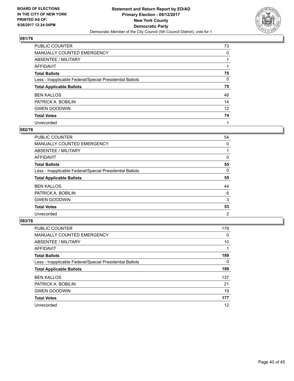

| PUBLIC COUNTER                                           | 73 |
|----------------------------------------------------------|----|
| <b>MANUALLY COUNTED EMERGENCY</b>                        | 0  |
| ABSENTEE / MILITARY                                      |    |
| <b>AFFIDAVIT</b>                                         |    |
| <b>Total Ballots</b>                                     | 75 |
| Less - Inapplicable Federal/Special Presidential Ballots | 0  |
| <b>Total Applicable Ballots</b>                          | 75 |
| <b>BEN KALLOS</b>                                        | 48 |
| PATRICK A. BOBILIN                                       | 14 |
| <b>GWEN GOODWIN</b>                                      | 12 |
| <b>Total Votes</b>                                       | 74 |
| Unrecorded                                               |    |

#### **082/76**

| <b>PUBLIC COUNTER</b>                                    | 54             |
|----------------------------------------------------------|----------------|
| <b>MANUALLY COUNTED EMERGENCY</b>                        | 0              |
| ABSENTEE / MILITARY                                      |                |
| AFFIDAVIT                                                | 0              |
| <b>Total Ballots</b>                                     | 55             |
| Less - Inapplicable Federal/Special Presidential Ballots | 0              |
| <b>Total Applicable Ballots</b>                          | 55             |
| <b>BEN KALLOS</b>                                        | 44             |
| PATRICK A. BOBILIN                                       | 6              |
| <b>GWEN GOODWIN</b>                                      | 3              |
| <b>Total Votes</b>                                       | 53             |
| Unrecorded                                               | $\overline{2}$ |

| <b>PUBLIC COUNTER</b>                                    | 178 |
|----------------------------------------------------------|-----|
| <b>MANUALLY COUNTED EMERGENCY</b>                        | 0   |
| ABSENTEE / MILITARY                                      | 10  |
| AFFIDAVIT                                                |     |
| <b>Total Ballots</b>                                     | 189 |
| Less - Inapplicable Federal/Special Presidential Ballots | 0   |
| <b>Total Applicable Ballots</b>                          | 189 |
| <b>BEN KALLOS</b>                                        | 137 |
| PATRICK A. BOBILIN                                       | 21  |
| <b>GWEN GOODWIN</b>                                      | 19  |
| <b>Total Votes</b>                                       | 177 |
| Unrecorded                                               | 12  |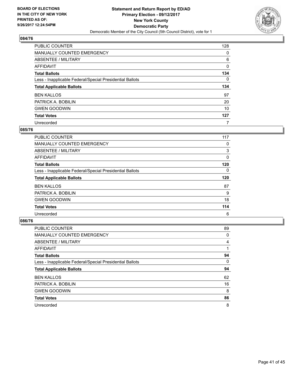

| <b>PUBLIC COUNTER</b>                                    | 128 |
|----------------------------------------------------------|-----|
| <b>MANUALLY COUNTED EMERGENCY</b>                        | 0   |
| ABSENTEE / MILITARY                                      | 6   |
| AFFIDAVIT                                                | 0   |
| <b>Total Ballots</b>                                     | 134 |
| Less - Inapplicable Federal/Special Presidential Ballots | 0   |
| <b>Total Applicable Ballots</b>                          | 134 |
| <b>BEN KALLOS</b>                                        | 97  |
| PATRICK A. BOBILIN                                       | 20  |
| <b>GWEN GOODWIN</b>                                      | 10  |
| <b>Total Votes</b>                                       | 127 |
| Unrecorded                                               | 7   |

#### **085/76**

| <b>PUBLIC COUNTER</b>                                    | 117 |
|----------------------------------------------------------|-----|
| MANUALLY COUNTED EMERGENCY                               | 0   |
| ABSENTEE / MILITARY                                      | 3   |
| AFFIDAVIT                                                | 0   |
| <b>Total Ballots</b>                                     | 120 |
| Less - Inapplicable Federal/Special Presidential Ballots | 0   |
| <b>Total Applicable Ballots</b>                          | 120 |
| <b>BEN KALLOS</b>                                        | 87  |
| PATRICK A. BOBILIN                                       | 9   |
| <b>GWEN GOODWIN</b>                                      | 18  |
| <b>Total Votes</b>                                       | 114 |
| Unrecorded                                               | 6   |

| <b>PUBLIC COUNTER</b>                                    | 89 |
|----------------------------------------------------------|----|
| <b>MANUALLY COUNTED EMERGENCY</b>                        | 0  |
| ABSENTEE / MILITARY                                      | 4  |
| <b>AFFIDAVIT</b>                                         |    |
| <b>Total Ballots</b>                                     | 94 |
| Less - Inapplicable Federal/Special Presidential Ballots | 0  |
| <b>Total Applicable Ballots</b>                          | 94 |
| <b>BEN KALLOS</b>                                        | 62 |
| PATRICK A. BOBILIN                                       | 16 |
| <b>GWEN GOODWIN</b>                                      | 8  |
| <b>Total Votes</b>                                       | 86 |
| Unrecorded                                               | 8  |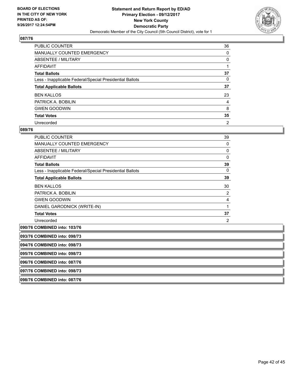

| <b>PUBLIC COUNTER</b>                                    | 36             |
|----------------------------------------------------------|----------------|
| <b>MANUALLY COUNTED EMERGENCY</b>                        | 0              |
| ABSENTEE / MILITARY                                      | 0              |
| AFFIDAVIT                                                |                |
| <b>Total Ballots</b>                                     | 37             |
| Less - Inapplicable Federal/Special Presidential Ballots | 0              |
| <b>Total Applicable Ballots</b>                          | 37             |
| <b>BEN KALLOS</b>                                        | 23             |
| PATRICK A. BOBILIN                                       | 4              |
| <b>GWEN GOODWIN</b>                                      | 8              |
| <b>Total Votes</b>                                       | 35             |
| Unrecorded                                               | $\overline{2}$ |

| <b>PUBLIC COUNTER</b>                                    | 39 |
|----------------------------------------------------------|----|
| <b>MANUALLY COUNTED EMERGENCY</b>                        | 0  |
| ABSENTEE / MILITARY                                      | 0  |
| <b>AFFIDAVIT</b>                                         | 0  |
| <b>Total Ballots</b>                                     | 39 |
| Less - Inapplicable Federal/Special Presidential Ballots | 0  |
| <b>Total Applicable Ballots</b>                          | 39 |
| <b>BEN KALLOS</b>                                        | 30 |
| PATRICK A. BOBILIN                                       | 2  |
| <b>GWEN GOODWIN</b>                                      | 4  |
| DANIEL GARODNICK (WRITE-IN)                              | 1  |
| <b>Total Votes</b>                                       | 37 |
| Unrecorded                                               | 2  |

| 090/76 COMBINED into: 103/76 |
|------------------------------|
|                              |

| 093/76 COMBINED into: 098/73 |  |
|------------------------------|--|
| 094/76 COMBINED into: 098/73 |  |
| 095/76 COMBINED into: 098/73 |  |
| 096/76 COMBINED into: 087/76 |  |
| 097/76 COMBINED into: 098/73 |  |
| 098/76 COMBINED into: 087/76 |  |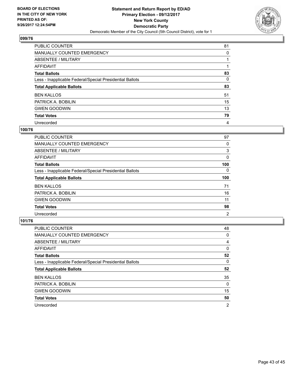

| <b>PUBLIC COUNTER</b>                                    | 81 |
|----------------------------------------------------------|----|
| <b>MANUALLY COUNTED EMERGENCY</b>                        | 0  |
| <b>ABSENTEE / MILITARY</b>                               |    |
| <b>AFFIDAVIT</b>                                         |    |
| <b>Total Ballots</b>                                     | 83 |
| Less - Inapplicable Federal/Special Presidential Ballots | 0  |
| <b>Total Applicable Ballots</b>                          | 83 |
| <b>BEN KALLOS</b>                                        | 51 |
| PATRICK A. BOBILIN                                       | 15 |
| <b>GWEN GOODWIN</b>                                      | 13 |
| <b>Total Votes</b>                                       | 79 |
| Unrecorded                                               | 4  |

#### **100/76**

| <b>PUBLIC COUNTER</b>                                    | 97             |
|----------------------------------------------------------|----------------|
| MANUALLY COUNTED EMERGENCY                               | 0              |
| ABSENTEE / MILITARY                                      | 3              |
| AFFIDAVIT                                                | 0              |
| <b>Total Ballots</b>                                     | 100            |
| Less - Inapplicable Federal/Special Presidential Ballots | 0              |
| <b>Total Applicable Ballots</b>                          | 100            |
| <b>BEN KALLOS</b>                                        | 71             |
| PATRICK A. BOBILIN                                       | 16             |
| <b>GWEN GOODWIN</b>                                      | 11             |
| <b>Total Votes</b>                                       | 98             |
| Unrecorded                                               | $\overline{2}$ |

| <b>PUBLIC COUNTER</b>                                    | 48             |
|----------------------------------------------------------|----------------|
| <b>MANUALLY COUNTED EMERGENCY</b>                        | 0              |
| ABSENTEE / MILITARY                                      | 4              |
| AFFIDAVIT                                                | 0              |
| <b>Total Ballots</b>                                     | 52             |
| Less - Inapplicable Federal/Special Presidential Ballots | 0              |
| <b>Total Applicable Ballots</b>                          | 52             |
| <b>BEN KALLOS</b>                                        | 35             |
| PATRICK A. BOBILIN                                       | $\Omega$       |
| <b>GWEN GOODWIN</b>                                      | 15             |
| <b>Total Votes</b>                                       | 50             |
| Unrecorded                                               | $\overline{2}$ |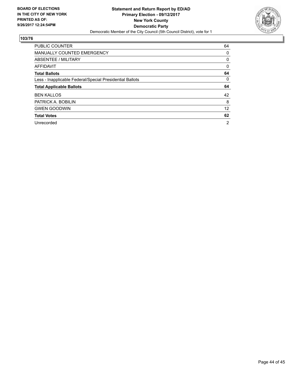

| <b>PUBLIC COUNTER</b>                                    | 64 |
|----------------------------------------------------------|----|
| <b>MANUALLY COUNTED EMERGENCY</b>                        | 0  |
| ABSENTEE / MILITARY                                      | 0  |
| <b>AFFIDAVIT</b>                                         | 0  |
| <b>Total Ballots</b>                                     | 64 |
| Less - Inapplicable Federal/Special Presidential Ballots | 0  |
| <b>Total Applicable Ballots</b>                          | 64 |
|                                                          |    |
| <b>BEN KALLOS</b>                                        | 42 |
| PATRICK A. BOBILIN                                       | 8  |
| <b>GWEN GOODWIN</b>                                      | 12 |
| <b>Total Votes</b>                                       | 62 |